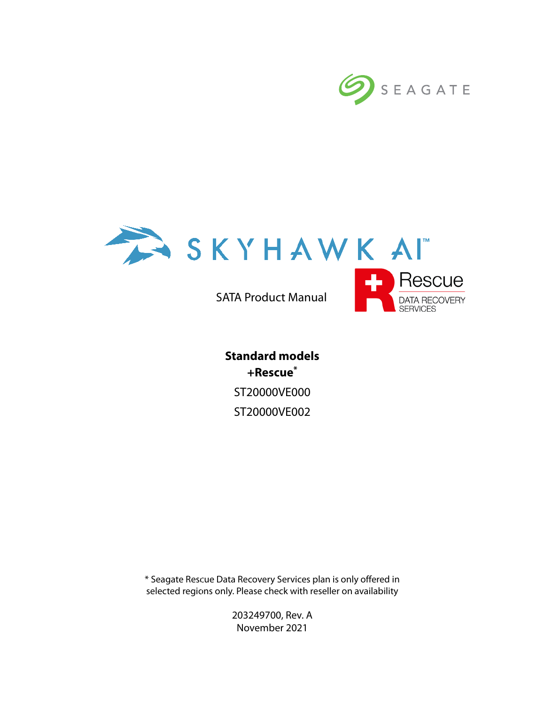



SATA Product Manual



**Standard models +Rescue\*** ST20000VE000 ST20000VE002

\* Seagate Rescue Data Recovery Services plan is only offered in selected regions only. Please check with reseller on availability

> 203249700, Rev. A November 2021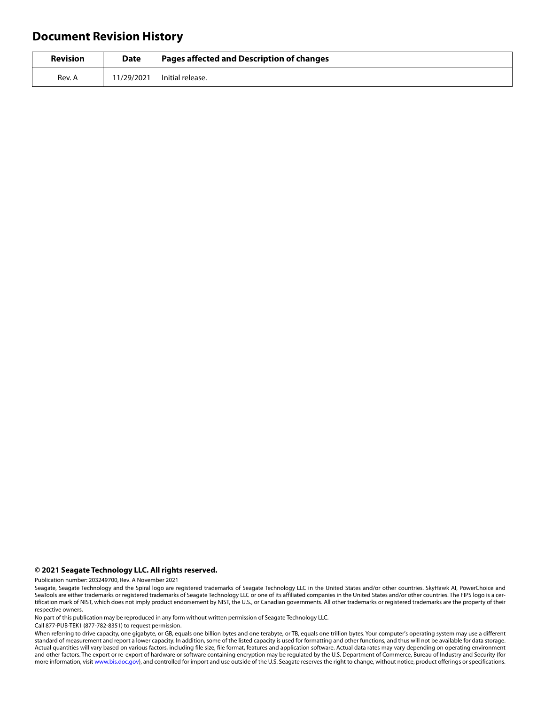## **Document Revision History**

| <b>Revision</b> | Date       | Pages affected and Description of changes |
|-----------------|------------|-------------------------------------------|
| Rev. A          | 11/29/2021 | l Initial release.                        |

#### **© 2021 Seagate Technology LLC. All rights reserved.**

Publication number: 203249700, Rev. A November 2021

No part of this publication may be reproduced in any form without written permission of Seagate Technology LLC.

Call 877-PUB-TEK1 (877-782-8351) to request permission.

When referring to drive capacity, one gigabyte, or GB, equals one billion bytes and one terabyte, or TB, equals one trillion bytes. Your computer's operating system may use a different standard of measurement and report a lower capacity. In addition, some of the listed capacity is used for formatting and other functions, and thus will not be available for data storage. Actual quantities will vary based on various factors, including file size, file format, features and application software. Actual data rates may vary depending on operating environment and other factors. The export or re-export of hardware or software containing encryption may be regulated by the U.S. Department of Commerce, Bureau of Industry and Security (for more information, visit [www.bis.doc.gov](http://www.bis.doc.gov)), and controlled for import and use outside of the U.S. Seagate reserves the right to change, without notice, product offerings or specifications.

Seagate, Seagate Technology and the Spiral logo are registered trademarks of Seagate Technology LLC in the United States and/or other countries. SkyHawk AI, PowerChoice and SeaTools are either trademarks or registered trademarks of Seagate Technology LLC or one of its affiliated companies in the United States and/or other countries. The FIPS logo is a certification mark of NIST, which does not imply product endorsement by NIST, the U.S., or Canadian governments. All other trademarks or registered trademarks are the property of their respective owners.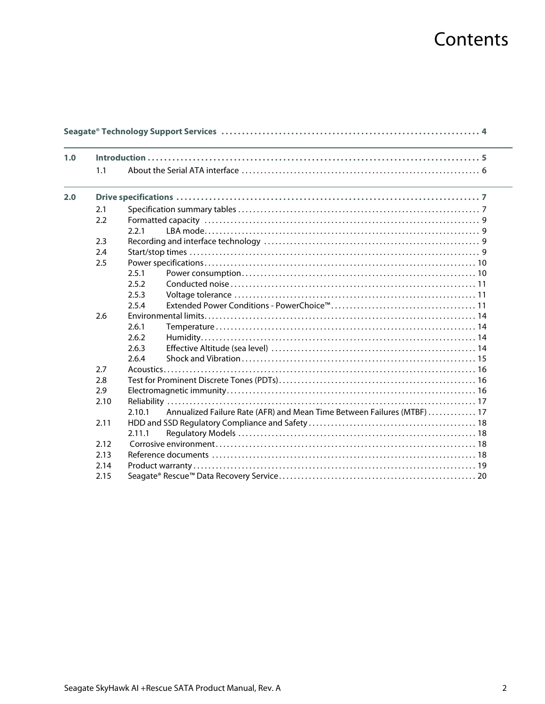# Contents

| 1.0 |      |                                                                                   |  |  |  |
|-----|------|-----------------------------------------------------------------------------------|--|--|--|
|     | 1.1  |                                                                                   |  |  |  |
| 2.0 |      |                                                                                   |  |  |  |
|     | 2.1  |                                                                                   |  |  |  |
|     | 2.2  |                                                                                   |  |  |  |
|     |      | 2.2.1                                                                             |  |  |  |
|     | 2.3  |                                                                                   |  |  |  |
|     | 2.4  |                                                                                   |  |  |  |
|     | 2.5  |                                                                                   |  |  |  |
|     |      | 2.5.1                                                                             |  |  |  |
|     |      | 2.5.2                                                                             |  |  |  |
|     |      | 2.5.3                                                                             |  |  |  |
|     |      | 2.5.4                                                                             |  |  |  |
|     | 2.6  |                                                                                   |  |  |  |
|     |      | 2.6.1                                                                             |  |  |  |
|     |      | 2.6.2                                                                             |  |  |  |
|     |      | 2.6.3                                                                             |  |  |  |
|     |      | 2.6.4                                                                             |  |  |  |
|     | 2.7  |                                                                                   |  |  |  |
|     | 2.8  |                                                                                   |  |  |  |
|     | 2.9  |                                                                                   |  |  |  |
|     | 2.10 |                                                                                   |  |  |  |
|     |      | Annualized Failure Rate (AFR) and Mean Time Between Failures (MTBF)  17<br>2.10.1 |  |  |  |
|     | 2.11 |                                                                                   |  |  |  |
|     |      | 2.11.1                                                                            |  |  |  |
|     | 2.12 |                                                                                   |  |  |  |
|     | 2.13 |                                                                                   |  |  |  |
|     | 2.14 |                                                                                   |  |  |  |
|     | 2.15 |                                                                                   |  |  |  |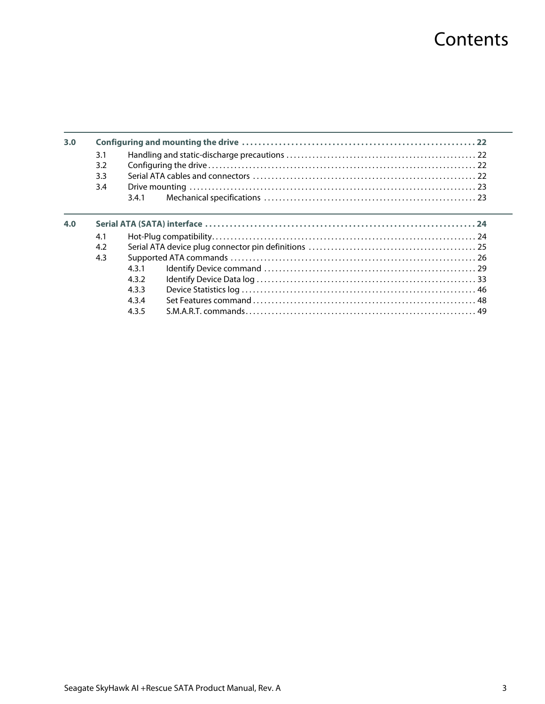# **Contents**

| 3.0 |     |       |  |  |
|-----|-----|-------|--|--|
|     | 3.1 |       |  |  |
|     | 3.2 |       |  |  |
|     | 3.3 |       |  |  |
|     | 3.4 |       |  |  |
|     |     | 3.4.1 |  |  |
| 4.0 |     |       |  |  |
|     | 4.1 |       |  |  |
|     | 4.2 |       |  |  |
|     | 4.3 |       |  |  |
|     |     | 431   |  |  |
|     |     | 432   |  |  |
|     |     | 4.3.3 |  |  |
|     |     | 434   |  |  |
|     |     | 4.3.5 |  |  |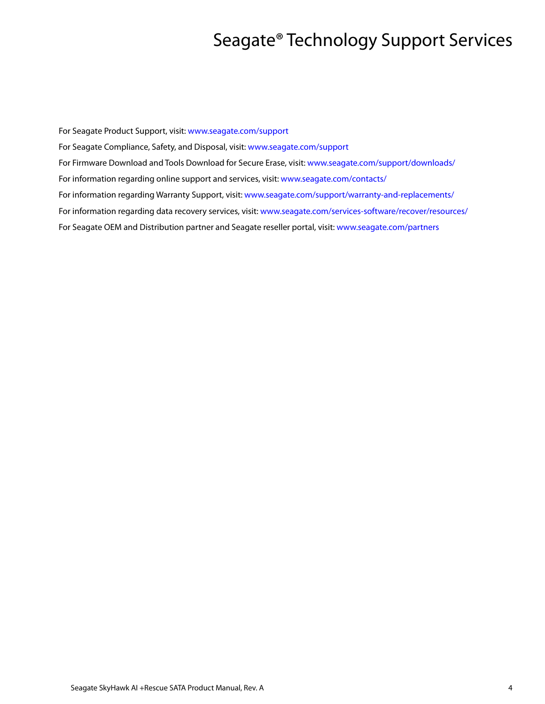## Seagate® Technology Support Services

<span id="page-4-0"></span>For Seagate Product Support, visit: [www.seagate.com/support](https://www.seagate.com/support) For Seagate Compliance, Safety, and Disposal, visit: [www.seagate.com/support](https://www.seagate.com/support) [For Firmware Download and Tools Download for Secure Erase, visit:](https://www.seagate.com/support/downloads/) www.seagate.com/support/downloads/ For information regarding online support and services, visit: [www.seagate.com/contacts/](http://www.seagate.com/contacts/) [For information regarding Warranty Support, visit: w](http://www.seagate.com/support/warranty-and-replacements/)ww.seagate.com/support/warranty-and-replacements/ For information regarding data recovery services, visit: [www.seagate.com/services-software/recover/resources/](http://www.seagate.com/services-software/seagate-recovery-services/recover/) [For Seagate OEM and Distribution partner and Seagate reseller portal, visit:](http://www.seagate.com/partners) www.seagate.com/partners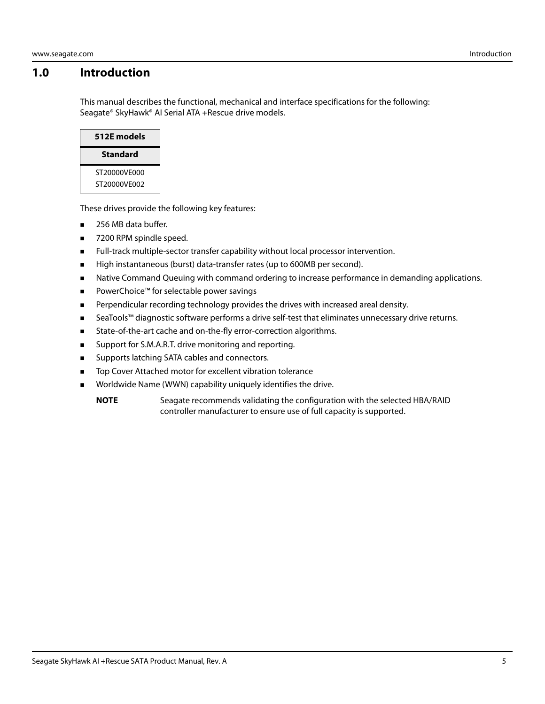## <span id="page-5-0"></span>**1.0 Introduction**

This manual describes the functional, mechanical and interface specifications for the following: Seagate® SkyHawk® AI Serial ATA +Rescue drive models.



These drives provide the following key features:

- 256 MB data buffer.
- 7200 RPM spindle speed.
- Full-track multiple-sector transfer capability without local processor intervention.
- High instantaneous (burst) data-transfer rates (up to 600MB per second).
- **Native Command Queuing with command ordering to increase performance in demanding applications.**
- PowerChoice™ for selectable power savings
- **Perpendicular recording technology provides the drives with increased areal density.**
- SeaTools™ diagnostic software performs a drive self-test that eliminates unnecessary drive returns.
- **State-of-the-art cache and on-the-fly error-correction algorithms.**
- Support for S.M.A.R.T. drive monitoring and reporting.
- Supports latching SATA cables and connectors.
- Top Cover Attached motor for excellent vibration tolerance
- **Norldwide Name (WWN) capability uniquely identifies the drive.**

**NOTE** Seagate recommends validating the configuration with the selected HBA/RAID controller manufacturer to ensure use of full capacity is supported.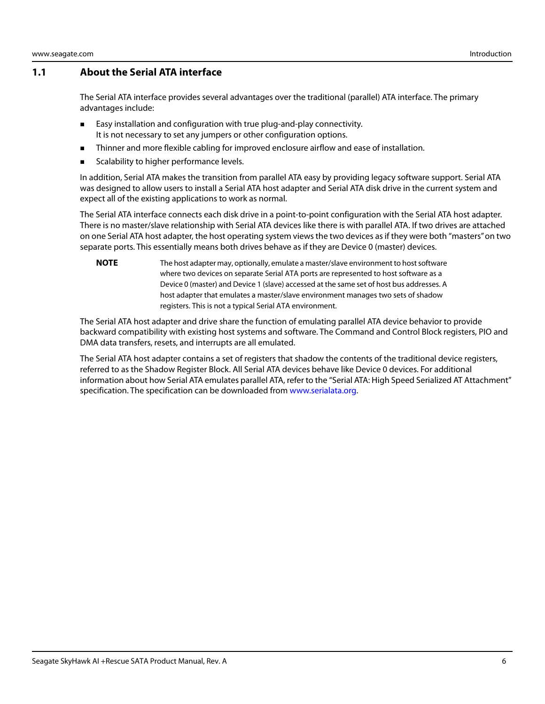### <span id="page-6-0"></span>**1.1 About the Serial ATA interface**

The Serial ATA interface provides several advantages over the traditional (parallel) ATA interface. The primary advantages include:

- **Easy installation and configuration with true plug-and-play connectivity.** It is not necessary to set any jumpers or other configuration options.
- **Thinner and more flexible cabling for improved enclosure airflow and ease of installation.**
- Scalability to higher performance levels.

In addition, Serial ATA makes the transition from parallel ATA easy by providing legacy software support. Serial ATA was designed to allow users to install a Serial ATA host adapter and Serial ATA disk drive in the current system and expect all of the existing applications to work as normal.

The Serial ATA interface connects each disk drive in a point-to-point configuration with the Serial ATA host adapter. There is no master/slave relationship with Serial ATA devices like there is with parallel ATA. If two drives are attached on one Serial ATA host adapter, the host operating system views the two devices as if they were both "masters" on two separate ports. This essentially means both drives behave as if they are Device 0 (master) devices.

**NOTE** The host adapter may, optionally, emulate a master/slave environment to host software where two devices on separate Serial ATA ports are represented to host software as a Device 0 (master) and Device 1 (slave) accessed at the same set of host bus addresses. A host adapter that emulates a master/slave environment manages two sets of shadow registers. This is not a typical Serial ATA environment.

The Serial ATA host adapter and drive share the function of emulating parallel ATA device behavior to provide backward compatibility with existing host systems and software. The Command and Control Block registers, PIO and DMA data transfers, resets, and interrupts are all emulated.

The Serial ATA host adapter contains a set of registers that shadow the contents of the traditional device registers, referred to as the Shadow Register Block. All Serial ATA devices behave like Device 0 devices. For additional information about how Serial ATA emulates parallel ATA, refer to the "Serial ATA: High Speed Serialized AT Attachment" specification. The specification can be downloaded from [www.serialata.org](http://www.serialata.org).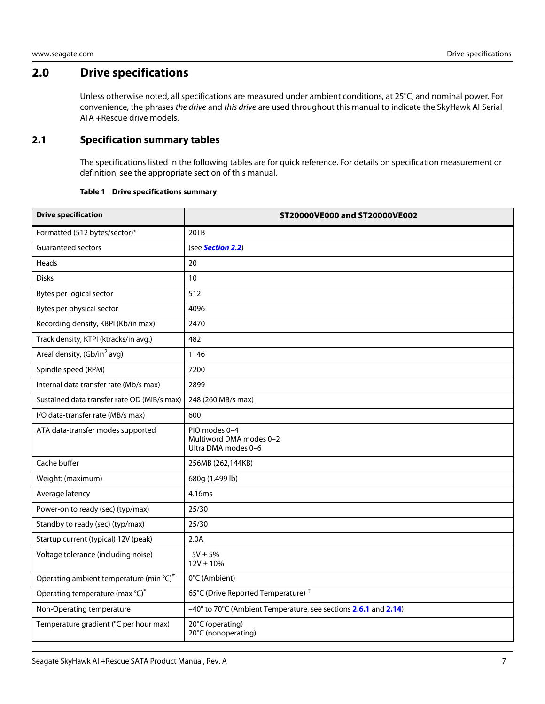## <span id="page-7-0"></span>**2.0 Drive specifications**

Unless otherwise noted, all specifications are measured under ambient conditions, at 25°C, and nominal power. For convenience, the phrases the drive and this drive are used throughout this manual to indicate the SkyHawk AI Serial ATA +Rescue drive models.

## <span id="page-7-1"></span>**2.1 Specification summary tables**

The specifications listed in the following tables are for quick reference. For details on specification measurement or definition, see the appropriate section of this manual.

#### **Table 1 Drive specifications summary**

<span id="page-7-2"></span>

| <b>Drive specification</b>                  | ST20000VE000 and ST20000VE002                                   |  |  |
|---------------------------------------------|-----------------------------------------------------------------|--|--|
| Formatted (512 bytes/sector)*               | 20TB                                                            |  |  |
| <b>Guaranteed sectors</b>                   | (see Section 2.2)                                               |  |  |
| Heads                                       | 20                                                              |  |  |
| <b>Disks</b>                                | 10                                                              |  |  |
| Bytes per logical sector                    | 512                                                             |  |  |
| Bytes per physical sector                   | 4096                                                            |  |  |
| Recording density, KBPI (Kb/in max)         | 2470                                                            |  |  |
| Track density, KTPI (ktracks/in avg.)       | 482                                                             |  |  |
| Areal density, (Gb/in <sup>2</sup> avg)     | 1146                                                            |  |  |
| Spindle speed (RPM)                         | 7200                                                            |  |  |
| Internal data transfer rate (Mb/s max)      | 2899                                                            |  |  |
| Sustained data transfer rate OD (MiB/s max) | 248 (260 MB/s max)                                              |  |  |
| I/O data-transfer rate (MB/s max)           | 600                                                             |  |  |
| ATA data-transfer modes supported           | PIO modes 0-4<br>Multiword DMA modes 0-2<br>Ultra DMA modes 0-6 |  |  |
| Cache buffer                                | 256MB (262,144KB)                                               |  |  |
| Weight: (maximum)                           | 680g (1.499 lb)                                                 |  |  |
| Average latency                             | 4.16ms                                                          |  |  |
| Power-on to ready (sec) (typ/max)           | 25/30                                                           |  |  |
| Standby to ready (sec) (typ/max)            | 25/30                                                           |  |  |
| Startup current (typical) 12V (peak)        | 2.0A                                                            |  |  |
| Voltage tolerance (including noise)         | $5V \pm 5%$<br>$12V \pm 10\%$                                   |  |  |
| Operating ambient temperature (min °C)*     | 0°C (Ambient)                                                   |  |  |
| Operating temperature (max °C)*             | 65°C (Drive Reported Temperature) <sup>†</sup>                  |  |  |
| Non-Operating temperature                   | -40° to 70°C (Ambient Temperature, see sections 2.6.1 and 2.14) |  |  |
| Temperature gradient (°C per hour max)      | 20°C (operating)<br>20°C (nonoperating)                         |  |  |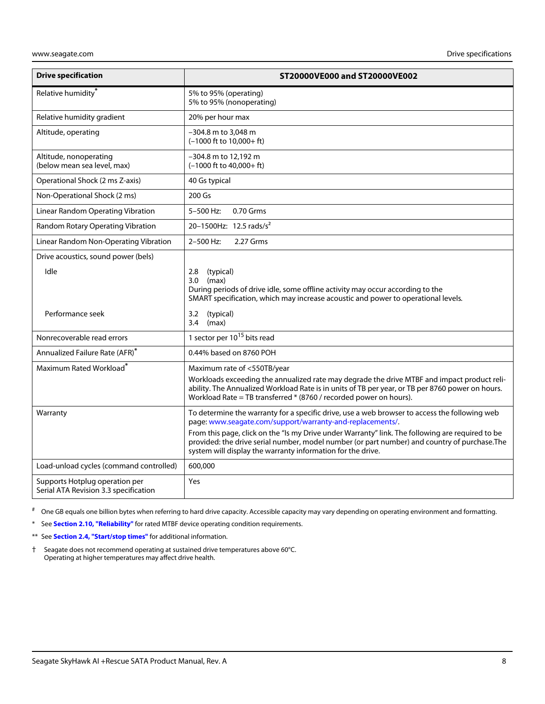| <b>Drive specification</b>                                              | ST20000VE000 and ST20000VE002                                                                                                                                                                                                                                                                                                                                                                                                  |
|-------------------------------------------------------------------------|--------------------------------------------------------------------------------------------------------------------------------------------------------------------------------------------------------------------------------------------------------------------------------------------------------------------------------------------------------------------------------------------------------------------------------|
| Relative humidity <sup>*</sup>                                          | 5% to 95% (operating)<br>5% to 95% (nonoperating)                                                                                                                                                                                                                                                                                                                                                                              |
| Relative humidity gradient                                              | 20% per hour max                                                                                                                                                                                                                                                                                                                                                                                                               |
| Altitude, operating                                                     | -304.8 m to 3,048 m<br>$(-1000 \text{ ft to } 10,000 + \text{ ft})$                                                                                                                                                                                                                                                                                                                                                            |
| Altitude, nonoperating<br>(below mean sea level, max)                   | -304.8 m to 12,192 m<br>$(-1000$ ft to $40,000+$ ft)                                                                                                                                                                                                                                                                                                                                                                           |
| Operational Shock (2 ms Z-axis)                                         | 40 Gs typical                                                                                                                                                                                                                                                                                                                                                                                                                  |
| Non-Operational Shock (2 ms)                                            | 200 Gs                                                                                                                                                                                                                                                                                                                                                                                                                         |
| Linear Random Operating Vibration                                       | 5-500 Hz:<br>0.70 Grms                                                                                                                                                                                                                                                                                                                                                                                                         |
| Random Rotary Operating Vibration                                       | 20-1500Hz: 12.5 rads/s <sup>2</sup>                                                                                                                                                                                                                                                                                                                                                                                            |
| Linear Random Non-Operating Vibration                                   | 2.27 Grms<br>2-500 Hz:                                                                                                                                                                                                                                                                                                                                                                                                         |
| Drive acoustics, sound power (bels)                                     |                                                                                                                                                                                                                                                                                                                                                                                                                                |
| Idle                                                                    | 2.8<br>(typical)<br>3.0<br>(max)<br>During periods of drive idle, some offline activity may occur according to the<br>SMART specification, which may increase acoustic and power to operational levels.                                                                                                                                                                                                                        |
| Performance seek                                                        | (typical)<br>3.2<br>(max)<br>3.4                                                                                                                                                                                                                                                                                                                                                                                               |
| Nonrecoverable read errors                                              | 1 sector per 10 <sup>15</sup> bits read                                                                                                                                                                                                                                                                                                                                                                                        |
| Annualized Failure Rate (AFR)*                                          | 0.44% based on 8760 POH                                                                                                                                                                                                                                                                                                                                                                                                        |
| Maximum Rated Workload <sup>*</sup>                                     | Maximum rate of <550TB/year<br>Workloads exceeding the annualized rate may degrade the drive MTBF and impact product reli-<br>ability. The Annualized Workload Rate is in units of TB per year, or TB per 8760 power on hours.<br>Workload Rate = TB transferred * (8760 / recorded power on hours).                                                                                                                           |
| Warranty                                                                | To determine the warranty for a specific drive, use a web browser to access the following web<br>page: www.seagate.com/support/warranty-and-replacements/.<br>From this page, click on the "Is my Drive under Warranty" link. The following are required to be<br>provided: the drive serial number, model number (or part number) and country of purchase. The<br>system will display the warranty information for the drive. |
| Load-unload cycles (command controlled)                                 | 600,000                                                                                                                                                                                                                                                                                                                                                                                                                        |
| Supports Hotplug operation per<br>Serial ATA Revision 3.3 specification | Yes                                                                                                                                                                                                                                                                                                                                                                                                                            |

# One GB equals one billion bytes when referring to hard drive capacity. Accessible capacity may vary depending on operating environment and formatting.

\* See **[Section 2.10, "Reliability"](#page-17-0)** for rated MTBF device operating condition requirements.

- \*\* See **[Section 2.4, "Start/stop times"](#page-9-3)** for additional information.
- <span id="page-8-0"></span>† Seagate does not recommend operating at sustained drive temperatures above 60°C. Operating at higher temperatures may affect drive health.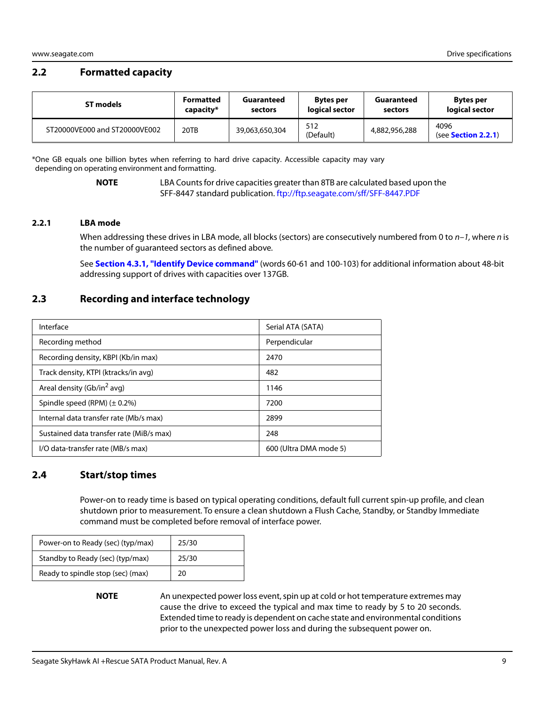## <span id="page-9-0"></span>**2.2 Formatted capacity**

| ST models                     | <b>Formatted</b> | Guaranteed     | <b>Bytes per</b> | Guaranteed    | <b>Bytes per</b>                    |
|-------------------------------|------------------|----------------|------------------|---------------|-------------------------------------|
|                               | capacity*        | sectors        | logical sector   | sectors       | logical sector                      |
| ST20000VE000 and ST20000VE002 | 20TB             | 39,063,650,304 | 512<br>(Default) | 4,882,956,288 | 4096<br>(see <b>Section 2.2.1</b> ) |

\*One GB equals one billion bytes when referring to hard drive capacity. Accessible capacity may vary depending on operating environment and formatting.

> **NOTE** LBA Counts for drive capacities greater than 8TB are calculated based upon the SFF-8447 standard publication.<ftp://ftp.seagate.com/sff/SFF-8447.PDF>

#### <span id="page-9-1"></span>**2.2.1 LBA mode**

When addressing these drives in LBA mode, all blocks (sectors) are consecutively numbered from 0 to  $n-1$ , where n is the number of guaranteed sectors as defined above.

See **[Section 4.3.1, "Identify Device command"](#page-29-0)** (words 60-61 and 100-103) for additional information about 48-bit addressing support of drives with capacities over 137GB.

## <span id="page-9-2"></span>**2.3 Recording and interface technology**

| Interface                                | Serial ATA (SATA)      |
|------------------------------------------|------------------------|
| Recording method                         | Perpendicular          |
| Recording density, KBPI (Kb/in max)      | 2470                   |
| Track density, KTPI (ktracks/in avg)     | 482                    |
| Areal density (Gb/in <sup>2</sup> avq)   | 1146                   |
| Spindle speed (RPM) $(\pm 0.2\%)$        | 7200                   |
| Internal data transfer rate (Mb/s max)   | 2899                   |
| Sustained data transfer rate (MiB/s max) | 248                    |
| I/O data-transfer rate (MB/s max)        | 600 (Ultra DMA mode 5) |

## <span id="page-9-3"></span>**2.4 Start/stop times**

Power-on to ready time is based on typical operating conditions, default full current spin-up profile, and clean shutdown prior to measurement. To ensure a clean shutdown a Flush Cache, Standby, or Standby Immediate command must be completed before removal of interface power.

| Power-on to Ready (sec) (typ/max) | 25/30 |
|-----------------------------------|-------|
| Standby to Ready (sec) (typ/max)  | 25/30 |
| Ready to spindle stop (sec) (max) | 20    |

**NOTE** An unexpected power loss event, spin up at cold or hot temperature extremes may cause the drive to exceed the typical and max time to ready by 5 to 20 seconds. Extended time to ready is dependent on cache state and environmental conditions prior to the unexpected power loss and during the subsequent power on.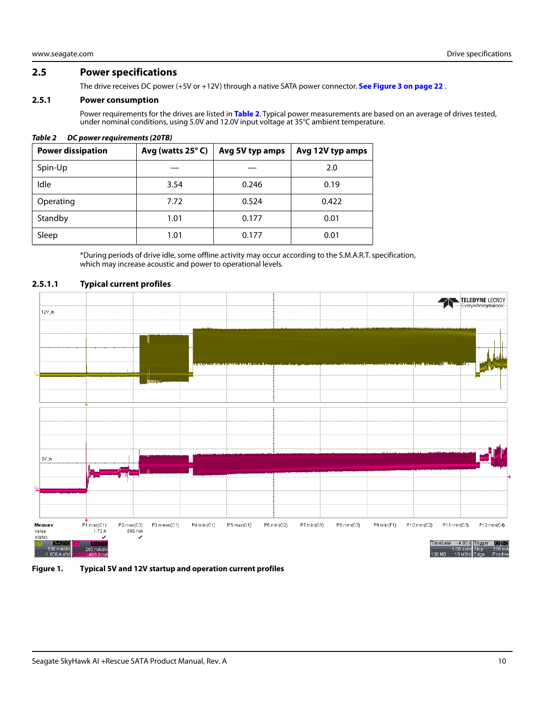#### <span id="page-10-0"></span>**2.5 Power specifications**

The drive receives DC power (+5V or +12V) through a native SATA power connector. **[See Figure 3 on page 22](#page-22-4)** .

#### <span id="page-10-1"></span>**2.5.1 Power consumption**

Power requirements for the drives are listed in **Table 2**. Typical power measurements are based on an average of drives tested, under nominal conditions, using 5.0V and 12.0V input voltage at 35°C ambient temperature.

#### *Table 2 DC power requirements (20TB)*

| <b>Power dissipation</b> | Avg (watts $25^{\circ}$ C) | Avg 5V typ amps | Avg 12V typ amps |
|--------------------------|----------------------------|-----------------|------------------|
| Spin-Up                  |                            |                 | 2.0              |
| Idle                     | 3.54                       | 0.246           | 0.19             |
| Operating                | 7.72                       | 0.524           | 0.422            |
| Standby                  | 1.01                       | 0.177           | 0.01             |
| Sleep                    | 1.01                       | 0.177           | 0.01             |

\*During periods of drive idle, some offline activity may occur according to the S.M.A.R.T. specification, which may increase acoustic and power to operational levels.

## TELEDYNE LECROY  $12V_l$  $5V_{\perp}$ n P2:max(C2)<br>689 mA P3:mean(C1)  $P4:min(C1)$  $P6:min(C2)$  $P7:min(C1)$  $P8: min(C3)$  $P9:min(F1)$  $P10:min(C2)$  $P12:min(C4)$ Measure P1:max(C1) P5:max(C1) P11:min(C3) value  $1.72A$ status  $-4.00$  s Trigger  $\Box$ Tim 200 mA/d

#### **2.5.1.1 Typical current profiles**

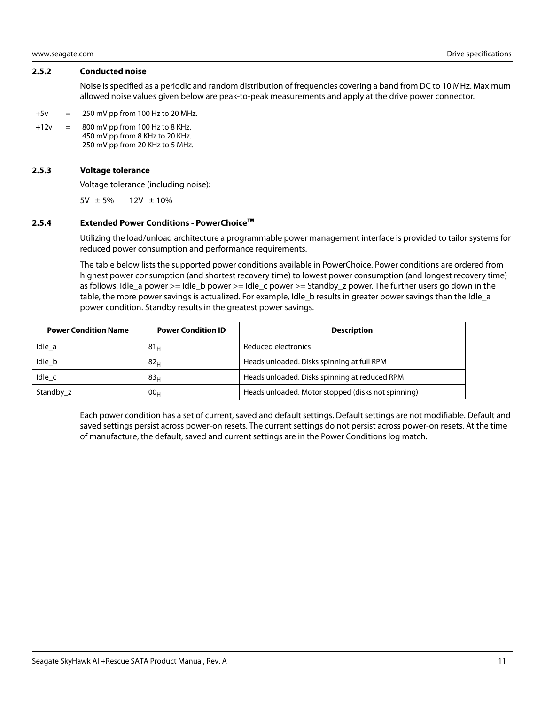#### <span id="page-11-0"></span>**2.5.2 Conducted noise**

Noise is specified as a periodic and random distribution of frequencies covering a band from DC to 10 MHz. Maximum allowed noise values given below are peak-to-peak measurements and apply at the drive power connector.

- $+5v = 250 \text{ mV pp}$  from 100 Hz to 20 MHz.
- $+12v = 800$  mV pp from 100 Hz to 8 KHz. 450 mV pp from 8 KHz to 20 KHz. 250 mV pp from 20 KHz to 5 MHz.

#### <span id="page-11-1"></span>**2.5.3 Voltage tolerance**

Voltage tolerance (including noise):

5V  $\pm 5\%$  12V  $\pm 10\%$ 

#### <span id="page-11-2"></span>**2.5.4 Extended Power Conditions - PowerChoice™**

Utilizing the load/unload architecture a programmable power management interface is provided to tailor systems for reduced power consumption and performance requirements.

The table below lists the supported power conditions available in PowerChoice. Power conditions are ordered from highest power consumption (and shortest recovery time) to lowest power consumption (and longest recovery time) as follows: Idle\_a power >= Idle\_b power >= Idle\_c power >= Standby\_z power. The further users go down in the table, the more power savings is actualized. For example, Idle\_b results in greater power savings than the Idle\_a power condition. Standby results in the greatest power savings.

| <b>Power Condition Name</b> | <b>Power Condition ID</b> | <b>Description</b>                                 |
|-----------------------------|---------------------------|----------------------------------------------------|
| Idle a                      | 81 <sub>H</sub>           | Reduced electronics                                |
| Idle b                      | 82 <sub>H</sub>           | Heads unloaded. Disks spinning at full RPM         |
| Idle c                      | 83 <sub>H</sub>           | Heads unloaded. Disks spinning at reduced RPM      |
| Standby z                   | 00 <sub>H</sub>           | Heads unloaded. Motor stopped (disks not spinning) |

Each power condition has a set of current, saved and default settings. Default settings are not modifiable. Default and saved settings persist across power-on resets. The current settings do not persist across power-on resets. At the time of manufacture, the default, saved and current settings are in the Power Conditions log match.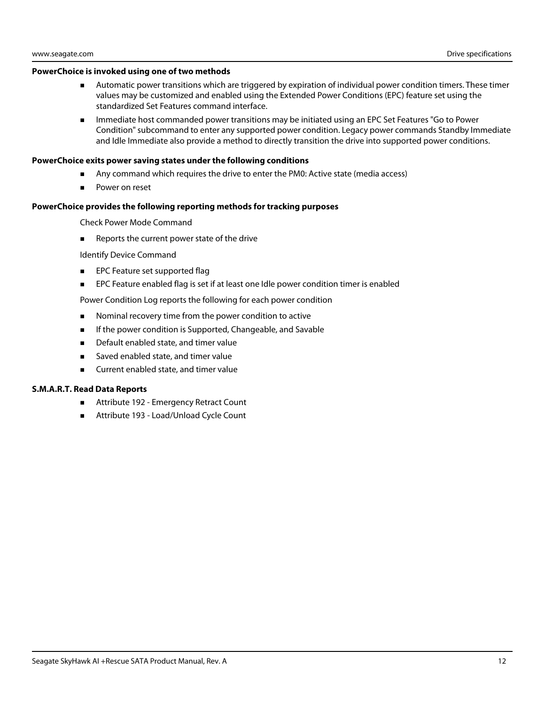#### **PowerChoice is invoked using one of two methods**

- Automatic power transitions which are triggered by expiration of individual power condition timers. These timer values may be customized and enabled using the Extended Power Conditions (EPC) feature set using the standardized Set Features command interface.
- **IMMED 19 Immediate host commanded power transitions may be initiated using an EPC Set Features "Go to Power** Condition" subcommand to enter any supported power condition. Legacy power commands Standby Immediate and Idle Immediate also provide a method to directly transition the drive into supported power conditions.

#### **PowerChoice exits power saving states under the following conditions**

- Any command which requires the drive to enter the PM0: Active state (media access)
- Power on reset

#### **PowerChoice provides the following reporting methods for tracking purposes**

Check Power Mode Command

Reports the current power state of the drive

Identify Device Command

- **EPC Feature set supported flag**
- **EPC Feature enabled flag is set if at least one Idle power condition timer is enabled**

Power Condition Log reports the following for each power condition

- **Nominal recovery time from the power condition to active**
- **If the power condition is Supported, Changeable, and Savable**
- **Default enabled state, and timer value**
- Saved enabled state, and timer value
- **EXECUTE:** Current enabled state, and timer value

#### **S.M.A.R.T. Read Data Reports**

- Attribute 192 Emergency Retract Count
- Attribute 193 Load/Unload Cycle Count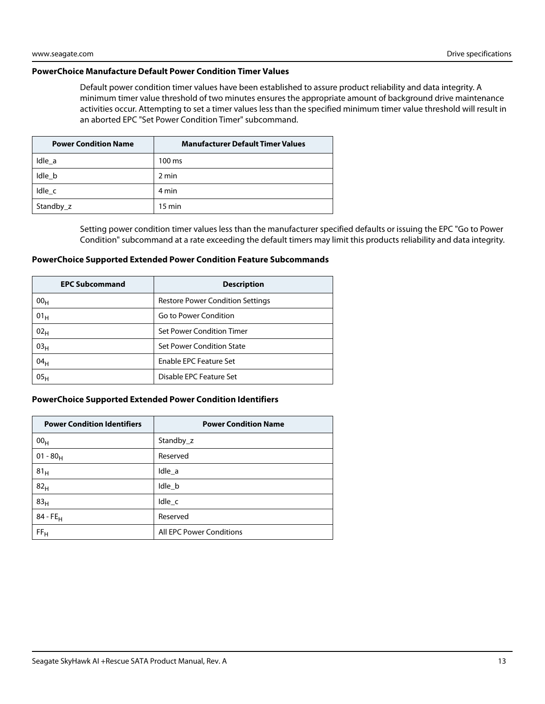#### **PowerChoice Manufacture Default Power Condition Timer Values**

Default power condition timer values have been established to assure product reliability and data integrity. A minimum timer value threshold of two minutes ensures the appropriate amount of background drive maintenance activities occur. Attempting to set a timer values less than the specified minimum timer value threshold will result in an aborted EPC "Set Power Condition Timer" subcommand.

| <b>Power Condition Name</b> | <b>Manufacturer Default Timer Values</b> |
|-----------------------------|------------------------------------------|
| Idle a                      | $100 \text{ ms}$                         |
| Idle b                      | 2 min                                    |
| Idle c                      | 4 min                                    |
| Standby_z                   | $15 \text{ min}$                         |

Setting power condition timer values less than the manufacturer specified defaults or issuing the EPC "Go to Power Condition" subcommand at a rate exceeding the default timers may limit this products reliability and data integrity.

#### **PowerChoice Supported Extended Power Condition Feature Subcommands**

| <b>EPC Subcommand</b> | <b>Description</b>                      |
|-----------------------|-----------------------------------------|
| 00 <sub>H</sub>       | <b>Restore Power Condition Settings</b> |
| 01 <sub>H</sub>       | Go to Power Condition                   |
| 02 <sub>H</sub>       | Set Power Condition Timer               |
| 03 <sub>H</sub>       | <b>Set Power Condition State</b>        |
| 04 <sub>H</sub>       | Enable EPC Feature Set                  |
| 05 <sub>H</sub>       | Disable EPC Feature Set                 |

#### **PowerChoice Supported Extended Power Condition Identifiers**

| <b>Power Condition Identifiers</b> | <b>Power Condition Name</b> |
|------------------------------------|-----------------------------|
| 00 <sub>H</sub>                    | Standby_z                   |
| $01 - 80_H$                        | Reserved                    |
| 81 <sub>H</sub>                    | Idle a                      |
| 82 <sub>H</sub>                    | Idle_b                      |
| 83 <sub>H</sub>                    | Idle_c                      |
| $84 - FE_H$                        | Reserved                    |
| FF <sub>H</sub>                    | All EPC Power Conditions    |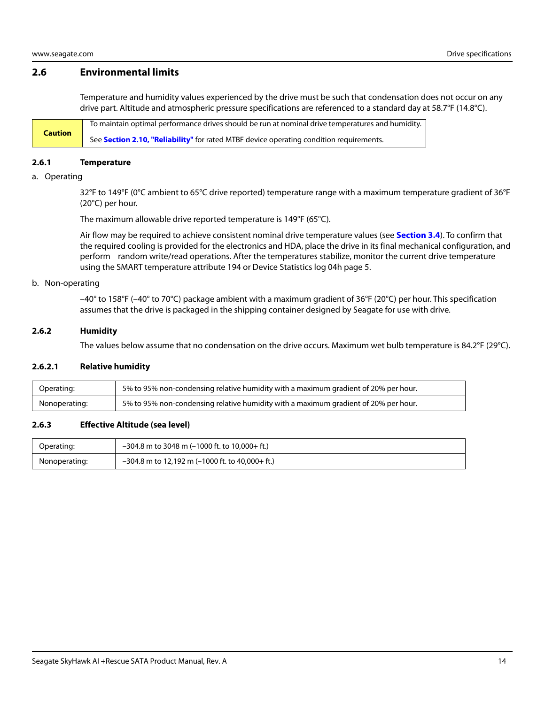## <span id="page-14-0"></span>**2.6 Environmental limits**

Temperature and humidity values experienced by the drive must be such that condensation does not occur on any drive part. Altitude and atmospheric pressure specifications are referenced to a standard day at 58.7°F (14.8°C).

**Caution** To maintain optimal performance drives should be run at nominal drive temperatures and humidity. See **[Section 2.10, "Reliability"](#page-17-0)** for rated MTBF device operating condition requirements.

#### <span id="page-14-1"></span>**2.6.1 Temperature**

#### a. Operating

32°F to 149°F (0°C ambient to 65°C drive reported) temperature range with a maximum temperature gradient of 36°F (20°C) per hour.

The maximum allowable drive reported temperature is 149°F (65°C).

Air flow may be required to achieve consistent nominal drive temperature values (see **[Section 3.4](#page-23-0)**). To confirm that the required cooling is provided for the electronics and HDA, place the drive in its final mechanical configuration, and perform random write/read operations. After the temperatures stabilize, monitor the current drive temperature using the SMART temperature attribute 194 or Device Statistics log 04h page 5.

#### b. Non-operating

 $-40^{\circ}$  to 158°F ( $-40^{\circ}$  to 70°C) package ambient with a maximum gradient of 36°F (20°C) per hour. This specification assumes that the drive is packaged in the shipping container designed by Seagate for use with drive.

#### <span id="page-14-2"></span>**2.6.2 Humidity**

The values below assume that no condensation on the drive occurs. Maximum wet bulb temperature is 84.2°F (29°C).

#### **2.6.2.1 Relative humidity**

| Operating:    | 5% to 95% non-condensing relative humidity with a maximum gradient of 20% per hour. |
|---------------|-------------------------------------------------------------------------------------|
| Nonoperating: | 5% to 95% non-condensing relative humidity with a maximum gradient of 20% per hour. |

#### <span id="page-14-3"></span>**2.6.3 Effective Altitude (sea level)**

| Operating:    | $-304.8$ m to 3048 m (-1000 ft. to 10,000+ ft.)   |
|---------------|---------------------------------------------------|
| Nonoperating: | $-304.8$ m to 12,192 m (-1000 ft. to 40,000+ ft.) |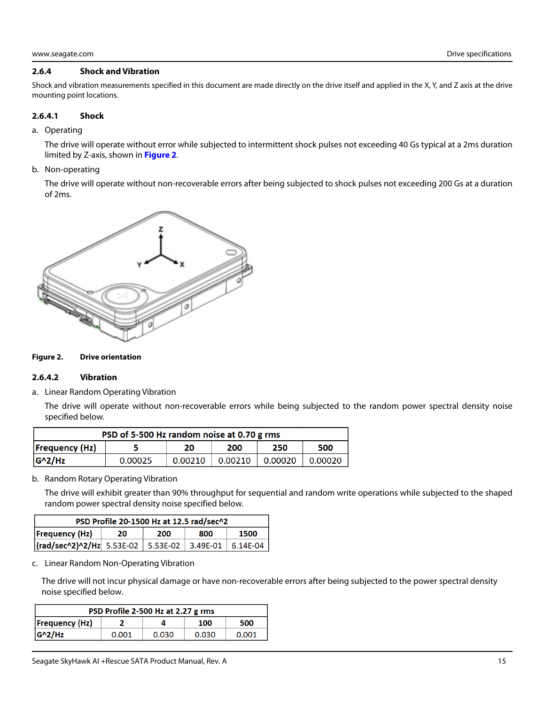#### <span id="page-15-0"></span>**2.6.4 Shock and Vibration**

Shock and vibration measurements specified in this document are made directly on the drive itself and applied in the X, Y, and Z axis at the drive mounting point locations.

#### **2.6.4.1 Shock**

a. Operating

The drive will operate without error while subjected to intermittent shock pulses not exceeding 40 Gs typical at a 2ms duration limited by Z-axis, shown in **[Figure 2](#page-15-1)**.

b. Non-operating

The drive will operate without non-recoverable errors after being subjected to shock pulses not exceeding 200 Gs at a duration of 2ms.



#### <span id="page-15-1"></span>**Figure 2. Drive orientation**

#### **2.6.4.2 Vibration**

a. Linear Random Operating Vibration

The drive will operate without non-recoverable errors while being subjected to the random power spectral density noise specified below.

| PSD of 5-500 Hz random noise at 0.70 g rms |         |         |         |         |         |
|--------------------------------------------|---------|---------|---------|---------|---------|
| $F_{\text{Frequency}}(Hz)$                 |         | 20      | 200     | 250     | 500     |
| $G^2/Hz$                                   | 0.00025 | 0.00210 | 0.00210 | 0.00020 | 0.00020 |

b. Random Rotary Operating Vibration

The drive will exhibit greater than 90% throughput for sequential and random write operations while subjected to the shaped random power spectral density noise specified below.

| PSD Profile 20-1500 Hz at 12.5 rad/sec^2         |    |     |     |            |
|--------------------------------------------------|----|-----|-----|------------|
| Frequency (Hz)                                   | 20 | 200 | 800 | 1500       |
| (rad/sec^2)^2/Hz  5.53E-02   5.53E-02   3.49E-01 |    |     |     | $6.14E-04$ |

c. Linear Random Non-Operating Vibration

The drive will not incur physical damage or have non-recoverable errors after being subjected to the power spectral density noise specified below.

| PSD Profile 2-500 Hz at 2.27 g rms |       |       |       |       |
|------------------------------------|-------|-------|-------|-------|
| <b>Frequency (Hz)</b>              |       |       | 100   | 500   |
| $ G^2/Hz $                         | 0.001 | 0.030 | 0.030 | 0.001 |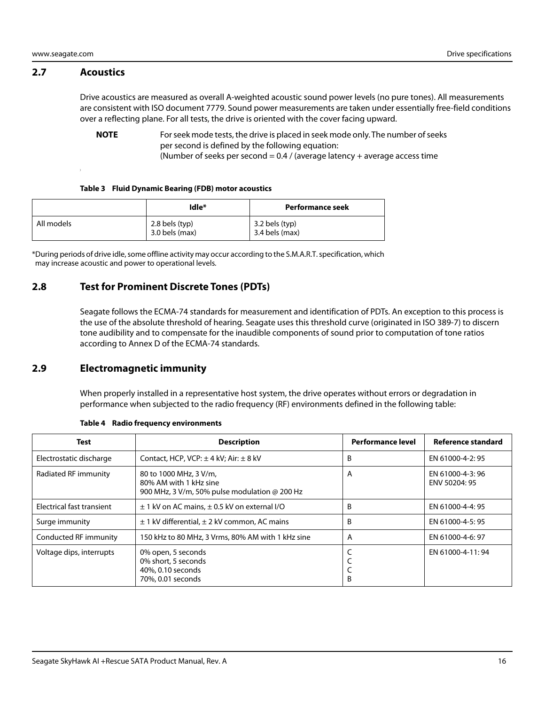#### <span id="page-16-0"></span>**2.7 Acoustics**

Drive acoustics are measured as overall A-weighted acoustic sound power levels (no pure tones). All measurements are consistent with ISO document 7779. Sound power measurements are taken under essentially free-field conditions over a reflecting plane. For all tests, the drive is oriented with the cover facing upward.

**NOTE** For seek mode tests, the drive is placed in seek mode only. The number of seeks per second is defined by the following equation:

(Number of seeks per second =  $0.4$  / (average latency + average access time

#### **Table 3 Fluid Dynamic Bearing (FDB) motor acoustics**

|            | Idle*                              | Performance seek                   |
|------------|------------------------------------|------------------------------------|
| All models | 2.8 bels (typ)<br>$3.0$ bels (max) | 3.2 bels (typ)<br>$3.4$ bels (max) |

\*During periods of drive idle, some offline activity may occur according to the S.M.A.R.T. specification, which may increase acoustic and power to operational levels.

## <span id="page-16-1"></span>**2.8 Test for Prominent Discrete Tones (PDTs)**

Seagate follows the ECMA-74 standards for measurement and identification of PDTs. An exception to this process is the use of the absolute threshold of hearing. Seagate uses this threshold curve (originated in ISO 389-7) to discern tone audibility and to compensate for the inaudible components of sound prior to computation of tone ratios according to Annex D of the ECMA-74 standards.

#### <span id="page-16-2"></span>**2.9 Electromagnetic immunity**

When properly installed in a representative host system, the drive operates without errors or degradation in performance when subjected to the radio frequency (RF) environments defined in the following table:

| <b>Test</b>               | <b>Description</b>                                                                                       | <b>Performance level</b> | Reference standard                |
|---------------------------|----------------------------------------------------------------------------------------------------------|--------------------------|-----------------------------------|
| Electrostatic discharge   | Contact, HCP, VCP: $\pm$ 4 kV; Air: $\pm$ 8 kV                                                           | B                        | EN 61000-4-2: 95                  |
| Radiated RF immunity      | 80 to 1000 MHz, 3 V/m,<br>80% AM with 1 kHz sine<br>900 MHz, 3 V/m, 50% pulse modulation $\omega$ 200 Hz | A                        | EN 61000-4-3: 96<br>ENV 50204: 95 |
| Electrical fast transient | $\pm$ 1 kV on AC mains, $\pm$ 0.5 kV on external I/O                                                     | B                        | EN 61000-4-4: 95                  |
| Surge immunity            | $\pm$ 1 kV differential, $\pm$ 2 kV common, AC mains                                                     | B                        | EN 61000-4-5: 95                  |
| Conducted RF immunity     | 150 kHz to 80 MHz, 3 Vrms, 80% AM with 1 kHz sine                                                        | A                        | EN 61000-4-6: 97                  |
| Voltage dips, interrupts  | 0% open, 5 seconds<br>0% short, 5 seconds<br>40%, 0.10 seconds<br>70%, 0.01 seconds                      | B                        | EN 61000-4-11:94                  |

#### **Table 4 Radio frequency environments**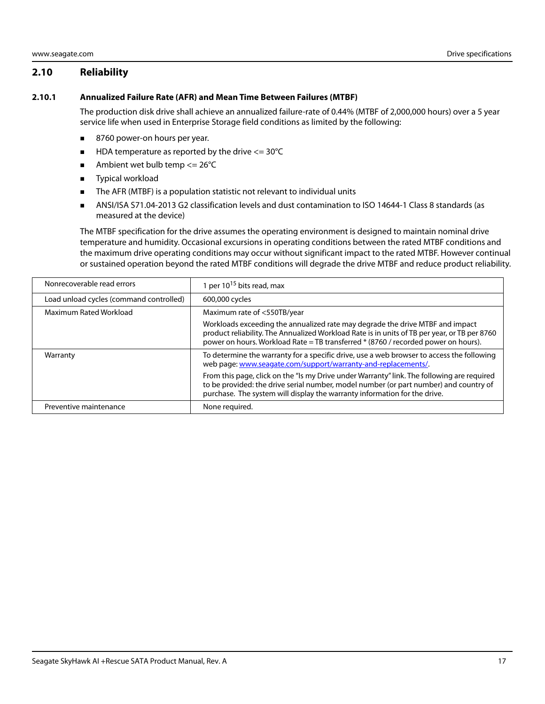## <span id="page-17-0"></span>**2.10 Reliability**

#### <span id="page-17-1"></span>**2.10.1 Annualized Failure Rate (AFR) and Mean Time Between Failures (MTBF)**

The production disk drive shall achieve an annualized failure-rate of 0.44% (MTBF of 2,000,000 hours) over a 5 year service life when used in Enterprise Storage field conditions as limited by the following:

- 8760 power-on hours per year.
- $\blacksquare$  HDA temperature as reported by the drive  $\lt$  = 30°C
- Ambient wet bulb temp  $\leq$  26°C
- **Typical workload**
- The AFR (MTBF) is a population statistic not relevant to individual units
- ANSI/ISA S71.04-2013 G2 classification levels and dust contamination to ISO 14644-1 Class 8 standards (as measured at the device)

The MTBF specification for the drive assumes the operating environment is designed to maintain nominal drive temperature and humidity. Occasional excursions in operating conditions between the rated MTBF conditions and the maximum drive operating conditions may occur without significant impact to the rated MTBF. However continual or sustained operation beyond the rated MTBF conditions will degrade the drive MTBF and reduce product reliability.

| Nonrecoverable read errors              | 1 per $10^{15}$ bits read, max                                                                                                                                                                                                                                      |
|-----------------------------------------|---------------------------------------------------------------------------------------------------------------------------------------------------------------------------------------------------------------------------------------------------------------------|
| Load unload cycles (command controlled) | 600,000 cycles                                                                                                                                                                                                                                                      |
| Maximum Rated Workload                  | Maximum rate of <550TB/year                                                                                                                                                                                                                                         |
|                                         | Workloads exceeding the annualized rate may degrade the drive MTBF and impact<br>product reliability. The Annualized Workload Rate is in units of TB per year, or TB per 8760<br>power on hours. Workload Rate = TB transferred * (8760 / recorded power on hours). |
| Warranty                                | To determine the warranty for a specific drive, use a web browser to access the following<br>web page: www.seagate.com/support/warranty-and-replacements/.                                                                                                          |
|                                         | From this page, click on the "Is my Drive under Warranty" link. The following are required<br>to be provided: the drive serial number, model number (or part number) and country of<br>purchase. The system will display the warranty information for the drive.    |
| Preventive maintenance                  | None required.                                                                                                                                                                                                                                                      |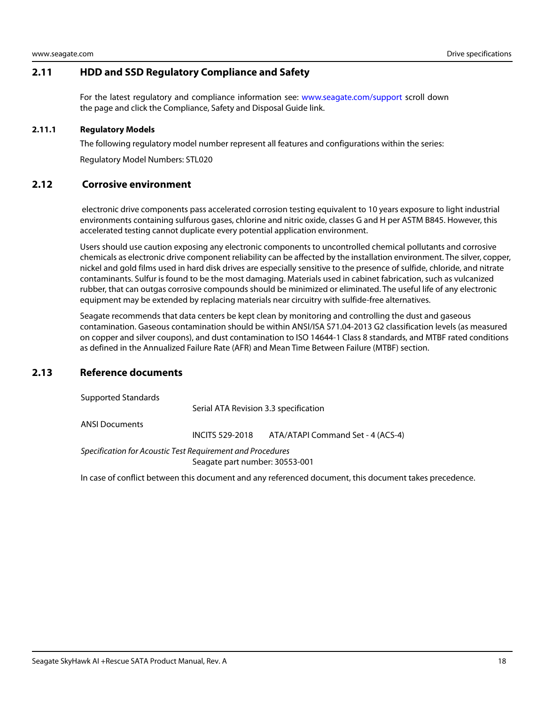## <span id="page-18-0"></span>**2.11 HDD and SSD Regulatory Compliance and Safety**

For the latest regulatory and compliance information see: [www.seagate.com/support](https://www.seagate.com/support) scroll down the page and click the Compliance, Safety and Disposal Guide link.

#### <span id="page-18-1"></span>**2.11.1 Regulatory Models**

The following regulatory model number represent all features and configurations within the series:

Regulatory Model Numbers: STL020

#### <span id="page-18-2"></span>**2.12 Corrosive environment**

 electronic drive components pass accelerated corrosion testing equivalent to 10 years exposure to light industrial environments containing sulfurous gases, chlorine and nitric oxide, classes G and H per ASTM B845. However, this accelerated testing cannot duplicate every potential application environment.

Users should use caution exposing any electronic components to uncontrolled chemical pollutants and corrosive chemicals as electronic drive component reliability can be affected by the installation environment. The silver, copper, nickel and gold films used in hard disk drives are especially sensitive to the presence of sulfide, chloride, and nitrate contaminants. Sulfur is found to be the most damaging. Materials used in cabinet fabrication, such as vulcanized rubber, that can outgas corrosive compounds should be minimized or eliminated. The useful life of any electronic equipment may be extended by replacing materials near circuitry with sulfide-free alternatives.

Seagate recommends that data centers be kept clean by monitoring and controlling the dust and gaseous contamination. Gaseous contamination should be within ANSI/ISA S71.04-2013 G2 classification levels (as measured on copper and silver coupons), and dust contamination to ISO 14644-1 Class 8 standards, and MTBF rated conditions as defined in the Annualized Failure Rate (AFR) and Mean Time Between Failure (MTBF) section.

## <span id="page-18-3"></span>**2.13 Reference documents**

Supported Standards

Serial ATA Revision 3.3 specification

ANSI Documents

INCITS 529-2018 ATA/ATAPI Command Set - 4 (ACS-4)

Specification for Acoustic Test Requirement and Procedures Seagate part number: 30553-001

In case of conflict between this document and any referenced document, this document takes precedence.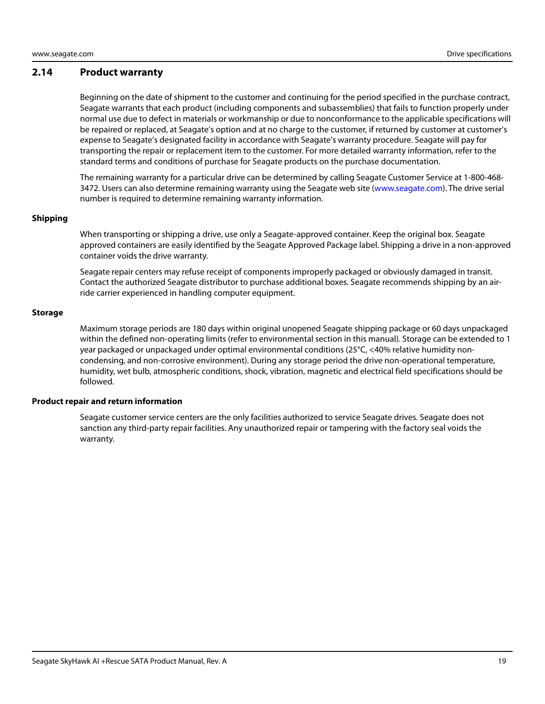#### <span id="page-19-0"></span>**2.14 Product warranty**

Beginning on the date of shipment to the customer and continuing for the period specified in the purchase contract, Seagate warrants that each product (including components and subassemblies) that fails to function properly under normal use due to defect in materials or workmanship or due to nonconformance to the applicable specifications will be repaired or replaced, at Seagate's option and at no charge to the customer, if returned by customer at customer's expense to Seagate's designated facility in accordance with Seagate's warranty procedure. Seagate will pay for transporting the repair or replacement item to the customer. For more detailed warranty information, refer to the standard terms and conditions of purchase for Seagate products on the purchase documentation.

[The remaining warranty for a particular drive can be determined by calling Seagate Customer Service at 1-800-468-](http://www.seagate.com) [3472. Users can also determine remaining warranty using the Seagate web site \(w](http://www.seagate.com)ww.seagate.com). The drive serial number is required to determine remaining warranty information.

#### **Shipping**

When transporting or shipping a drive, use only a Seagate-approved container. Keep the original box. Seagate approved containers are easily identified by the Seagate Approved Package label. Shipping a drive in a non-approved container voids the drive warranty.

Seagate repair centers may refuse receipt of components improperly packaged or obviously damaged in transit. Contact the authorized Seagate distributor to purchase additional boxes. Seagate recommends shipping by an airride carrier experienced in handling computer equipment.

#### **Storage**

Maximum storage periods are 180 days within original unopened Seagate shipping package or 60 days unpackaged within the defined non-operating limits (refer to environmental section in this manual). Storage can be extended to 1 year packaged or unpackaged under optimal environmental conditions (25°C, <40% relative humidity noncondensing, and non-corrosive environment). During any storage period the drive non-operational temperature, humidity, wet bulb, atmospheric conditions, shock, vibration, magnetic and electrical field specifications should be followed.

#### **Product repair and return information**

Seagate customer service centers are the only facilities authorized to service Seagate drives. Seagate does not sanction any third-party repair facilities. Any unauthorized repair or tampering with the factory seal voids the warranty.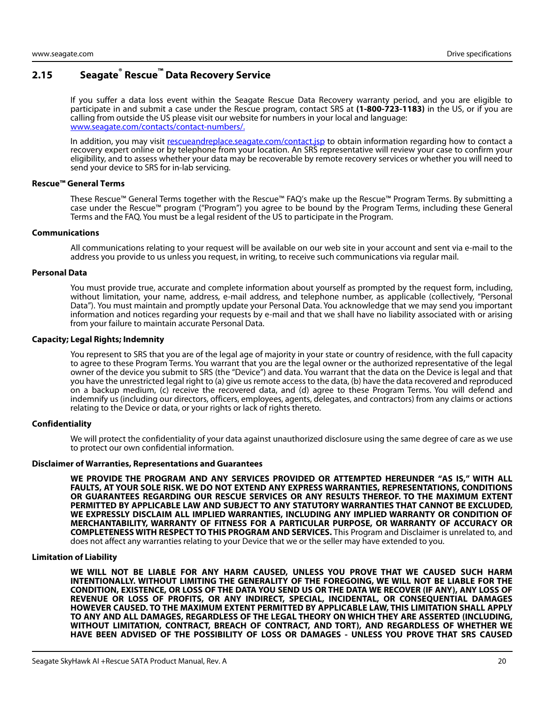## <span id="page-20-0"></span>**2.15 Seagate® Rescue™ Data Recovery Service**

If you suffer a data loss event within the Seagate Rescue Data Recovery warranty period, and you are eligible to participate in and submit a case under the Rescue program, contact SRS at **(1-800-723-1183)** in the US, or if you are calling from outside the US please visit our website for numbers in your local and language: [www.seagate.com/contacts/contact-numbers/.](http://www.seagate.com/contacts/contact-numbers/)

[In addition, you may visit r](http://rescueandreplace.seagate.com/contact.jsp)escueandreplace.seagate.com/contact.jsp to obtain information regarding how to contact a recovery expert online or by telephone from your location. An SRS representative will review your case to confirm your eligibility, and to assess whether your data may be recoverable by remote recovery services or whether you will need to send your device to SRS for in-lab servicing.

#### **Rescue™ General Terms**

These Rescue™ General Terms together with the Rescue™ FAQ's make up the Rescue™ Program Terms. By submitting a case under the Rescue™ program ("Program") you agree to be bound by the Program Terms, including these General Terms and the FAQ. You must be a legal resident of the US to participate in the Program.

#### **Communications**

All communications relating to your request will be available on our web site in your account and sent via e-mail to the address you provide to us unless you request, in writing, to receive such communications via regular mail.

#### **Personal Data**

You must provide true, accurate and complete information about yourself as prompted by the request form, including, without limitation, your name, address, e-mail address, and telephone number, as applicable (collectively, "Personal Data"). You must maintain and promptly update your Personal Data. You acknowledge that we may send you important information and notices regarding your requests by e-mail and that we shall have no liability associated with or arising from your failure to maintain accurate Personal Data.

#### **Capacity; Legal Rights; Indemnity**

You represent to SRS that you are of the legal age of majority in your state or country of residence, with the full capacity to agree to these Program Terms. You warrant that you are the legal owner or the authorized representative of the legal owner of the device you submit to SRS (the "Device") and data. You warrant that the data on the Device is legal and that you have the unrestricted legal right to (a) give us remote access to the data, (b) have the data recovered and reproduced on a backup medium, (c) receive the recovered data, and (d) agree to these Program Terms. You will defend and indemnify us (including our directors, officers, employees, agents, delegates, and contractors) from any claims or actions relating to the Device or data, or your rights or lack of rights thereto.

#### **Confidentiality**

We will protect the confidentiality of your data against unauthorized disclosure using the same degree of care as we use to protect our own confidential information.

#### **Disclaimer of Warranties, Representations and Guarantees**

**WE PROVIDE THE PROGRAM AND ANY SERVICES PROVIDED OR ATTEMPTED HEREUNDER "AS IS," WITH ALL FAULTS, AT YOUR SOLE RISK. WE DO NOT EXTEND ANY EXPRESS WARRANTIES, REPRESENTATIONS, CONDITIONS OR GUARANTEES REGARDING OUR RESCUE SERVICES OR ANY RESULTS THEREOF. TO THE MAXIMUM EXTENT PERMITTED BY APPLICABLE LAW AND SUBJECT TO ANY STATUTORY WARRANTIES THAT CANNOT BE EXCLUDED, WE EXPRESSLY DISCLAIM ALL IMPLIED WARRANTIES, INCLUDING ANY IMPLIED WARRANTY OR CONDITION OF MERCHANTABILITY, WARRANTY OF FITNESS FOR A PARTICULAR PURPOSE, OR WARRANTY OF ACCURACY OR COMPLETENESS WITH RESPECT TO THIS PROGRAM AND SERVICES.** This Program and Disclaimer is unrelated to, and does not affect any warranties relating to your Device that we or the seller may have extended to you.

#### **Limitation of Liability**

**WE WILL NOT BE LIABLE FOR ANY HARM CAUSED, UNLESS YOU PROVE THAT WE CAUSED SUCH HARM INTENTIONALLY. WITHOUT LIMITING THE GENERALITY OF THE FOREGOING, WE WILL NOT BE LIABLE FOR THE CONDITION, EXISTENCE, OR LOSS OF THE DATA YOU SEND US OR THE DATA WE RECOVER (IF ANY), ANY LOSS OF REVENUE OR LOSS OF PROFITS, OR ANY INDIRECT, SPECIAL, INCIDENTAL, OR CONSEQUENTIAL DAMAGES HOWEVER CAUSED. TO THE MAXIMUM EXTENT PERMITTED BY APPLICABLE LAW, THIS LIMITATION SHALL APPLY TO ANY AND ALL DAMAGES, REGARDLESS OF THE LEGAL THEORY ON WHICH THEY ARE ASSERTED (INCLUDING, WITHOUT LIMITATION, CONTRACT, BREACH OF CONTRACT, AND TORT), AND REGARDLESS OF WHETHER WE HAVE BEEN ADVISED OF THE POSSIBILITY OF LOSS OR DAMAGES - UNLESS YOU PROVE THAT SRS CAUSED**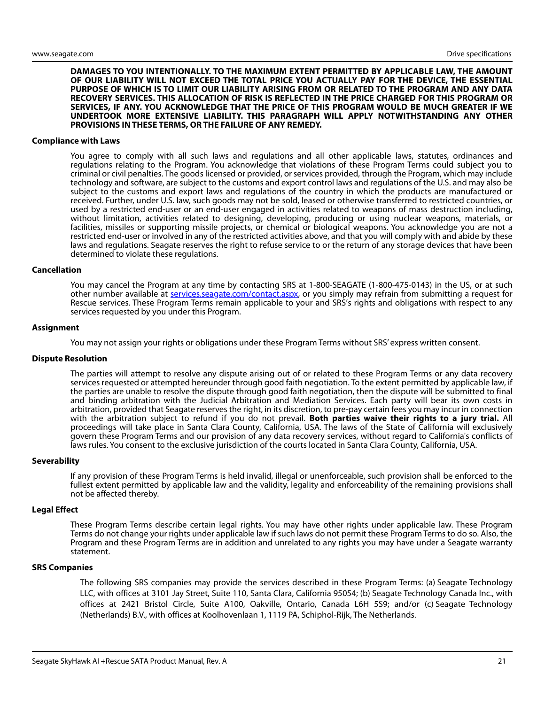**DAMAGES TO YOU INTENTIONALLY. TO THE MAXIMUM EXTENT PERMITTED BY APPLICABLE LAW, THE AMOUNT OF OUR LIABILITY WILL NOT EXCEED THE TOTAL PRICE YOU ACTUALLY PAY FOR THE DEVICE, THE ESSENTIAL PURPOSE OF WHICH IS TO LIMIT OUR LIABILITY ARISING FROM OR RELATED TO THE PROGRAM AND ANY DATA RECOVERY SERVICES. THIS ALLOCATION OF RISK IS REFLECTED IN THE PRICE CHARGED FOR THIS PROGRAM OR SERVICES, IF ANY. YOU ACKNOWLEDGE THAT THE PRICE OF THIS PROGRAM WOULD BE MUCH GREATER IF WE UNDERTOOK MORE EXTENSIVE LIABILITY. THIS PARAGRAPH WILL APPLY NOTWITHSTANDING ANY OTHER PROVISIONS IN THESE TERMS, OR THE FAILURE OF ANY REMEDY.**

#### **Compliance with Laws**

You agree to comply with all such laws and regulations and all other applicable laws, statutes, ordinances and regulations relating to the Program. You acknowledge that violations of these Program Terms could subject you to criminal or civil penalties. The goods licensed or provided, or services provided, through the Program, which may include technology and software, are subject to the customs and export control laws and regulations of the U.S. and may also be subject to the customs and export laws and regulations of the country in which the products are manufactured or received. Further, under U.S. law, such goods may not be sold, leased or otherwise transferred to restricted countries, or used by a restricted end-user or an end-user engaged in activities related to weapons of mass destruction including, without limitation, activities related to designing, developing, producing or using nuclear weapons, materials, or facilities, missiles or supporting missile projects, or chemical or biological weapons. You acknowledge you are not a restricted end-user or involved in any of the restricted activities above, and that you will comply with and abide by these laws and regulations. Seagate reserves the right to refuse service to or the return of any storage devices that have been determined to violate these regulations.

#### **Cancellation**

[You may cancel the Program at any time by contacting SRS at 1-800-SEAGATE \(1-800-475-0143\) in the US, or at such](http://services.seagate.com/contact.aspx) [other number available at s](http://services.seagate.com/contact.aspx)ervices.seagate.com/contact.aspx, or you simply may refrain from submitting a request for Rescue services. These Program Terms remain applicable to your and SRS's rights and obligations with respect to any services requested by you under this Program.

#### **Assignment**

You may not assign your rights or obligations under these Program Terms without SRS' express written consent.

#### **Dispute Resolution**

The parties will attempt to resolve any dispute arising out of or related to these Program Terms or any data recovery services requested or attempted hereunder through good faith negotiation. To the extent permitted by applicable law, if the parties are unable to resolve the dispute through good faith negotiation, then the dispute will be submitted to final and binding arbitration with the Judicial Arbitration and Mediation Services. Each party will bear its own costs in arbitration, provided that Seagate reserves the right, in its discretion, to pre-pay certain fees you may incur in connection with the arbitration subject to refund if you do not prevail. **Both parties waive their rights to a jury trial.** All proceedings will take place in Santa Clara County, California, USA. The laws of the State of California will exclusively govern these Program Terms and our provision of any data recovery services, without regard to California's conflicts of laws rules. You consent to the exclusive jurisdiction of the courts located in Santa Clara County, California, USA.

#### **Severability**

If any provision of these Program Terms is held invalid, illegal or unenforceable, such provision shall be enforced to the fullest extent permitted by applicable law and the validity, legality and enforceability of the remaining provisions shall not be affected thereby.

#### **Legal Effect**

These Program Terms describe certain legal rights. You may have other rights under applicable law. These Program Terms do not change your rights under applicable law if such laws do not permit these Program Terms to do so. Also, the Program and these Program Terms are in addition and unrelated to any rights you may have under a Seagate warranty statement.

#### **SRS Companies**

The following SRS companies may provide the services described in these Program Terms: (a) Seagate Technology LLC, with offices at 3101 Jay Street, Suite 110, Santa Clara, California 95054; (b) Seagate Technology Canada Inc., with offices at 2421 Bristol Circle, Suite A100, Oakville, Ontario, Canada L6H 5S9; and/or (c) Seagate Technology (Netherlands) B.V., with offices at Koolhovenlaan 1, 1119 PA, Schiphol-Rijk, The Netherlands.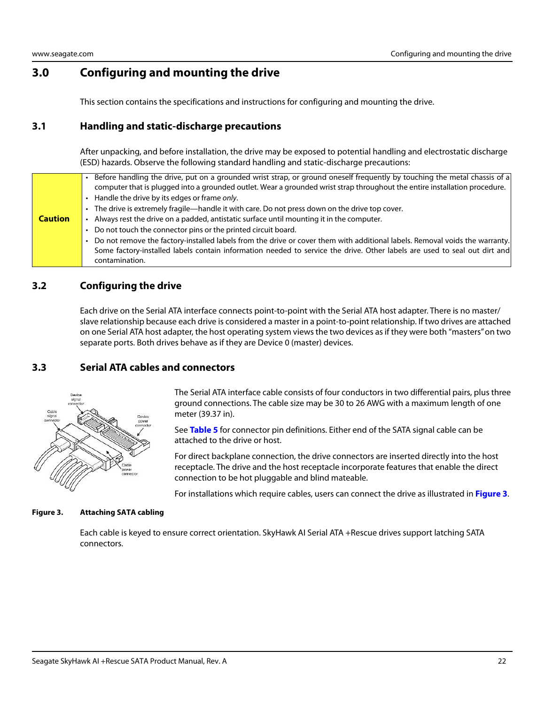## <span id="page-22-0"></span>**3.0 Configuring and mounting the drive**

This section contains the specifications and instructions for configuring and mounting the drive.

## <span id="page-22-1"></span>**3.1 Handling and static-discharge precautions**

After unpacking, and before installation, the drive may be exposed to potential handling and electrostatic discharge (ESD) hazards. Observe the following standard handling and static-discharge precautions:

|                | Before handling the drive, put on a grounded wrist strap, or ground oneself frequently by touching the metal chassis of a<br>computer that is plugged into a grounded outlet. Wear a grounded wrist strap throughout the entire installation procedure.  |
|----------------|----------------------------------------------------------------------------------------------------------------------------------------------------------------------------------------------------------------------------------------------------------|
|                | Handle the drive by its edges or frame only.                                                                                                                                                                                                             |
|                | The drive is extremely fragile—handle it with care. Do not press down on the drive top cover.                                                                                                                                                            |
| <b>Caution</b> | Always rest the drive on a padded, antistatic surface until mounting it in the computer.                                                                                                                                                                 |
|                | Do not touch the connector pins or the printed circuit board.                                                                                                                                                                                            |
|                | Do not remove the factory-installed labels from the drive or cover them with additional labels. Removal voids the warranty.<br>Some factory-installed labels contain information needed to service the drive. Other labels are used to seal out dirt and |
|                | contamination.                                                                                                                                                                                                                                           |

## <span id="page-22-2"></span>**3.2 Configuring the drive**

Each drive on the Serial ATA interface connects point-to-point with the Serial ATA host adapter. There is no master/ slave relationship because each drive is considered a master in a point-to-point relationship. If two drives are attached on one Serial ATA host adapter, the host operating system views the two devices as if they were both "masters" on two separate ports. Both drives behave as if they are Device 0 (master) devices.

## <span id="page-22-3"></span>**3.3 Serial ATA cables and connectors**



The Serial ATA interface cable consists of four conductors in two differential pairs, plus three ground connections. The cable size may be 30 to 26 AWG with a maximum length of one meter (39.37 in).

See **Table 5** for connector pin definitions. Either end of the SATA signal cable can be attached to the drive or host.

For direct backplane connection, the drive connectors are inserted directly into the host receptacle. The drive and the host receptacle incorporate features that enable the direct connection to be hot pluggable and blind mateable.

For installations which require cables, users can connect the drive as illustrated in **[Figure 3](#page-22-4)**.

#### <span id="page-22-4"></span>**Figure 3. Attaching SATA cabling**

Each cable is keyed to ensure correct orientation. SkyHawk AI Serial ATA +Rescue drives support latching SATA connectors.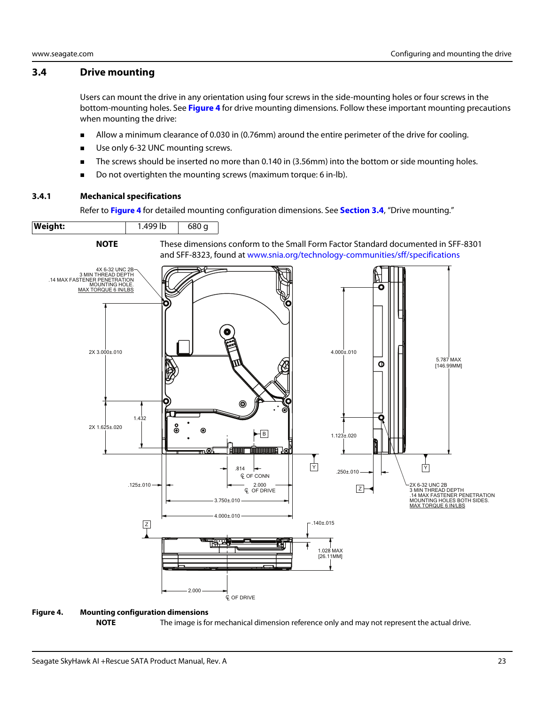#### <span id="page-23-0"></span>**3.4 Drive mounting**

Users can mount the drive in any orientation using four screws in the side-mounting holes or four screws in the bottom-mounting holes. See **[Figure 4](#page-23-2)** for drive mounting dimensions. Follow these important mounting precautions when mounting the drive:

- Allow a minimum clearance of 0.030 in (0.76mm) around the entire perimeter of the drive for cooling.
- Use only 6-32 UNC mounting screws.
- The screws should be inserted no more than 0.140 in (3.56mm) into the bottom or side mounting holes.
- Do not overtighten the mounting screws (maximum torque: 6 in-lb).

#### <span id="page-23-1"></span>**3.4.1 Mechanical specifications**

Refer to **[Figure 4](#page-23-2)** for detailed mounting configuration dimensions. See **[Section 3.4](#page-23-0)**, "Drive mounting."



## <span id="page-23-2"></span>**NOTE** The image is for mechanical dimension reference only and may not represent the actual drive.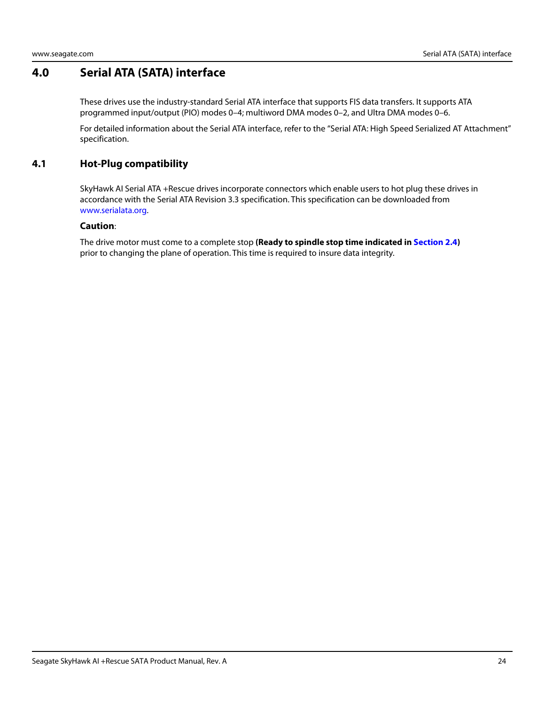## <span id="page-24-0"></span>**4.0 Serial ATA (SATA) interface**

These drives use the industry-standard Serial ATA interface that supports FIS data transfers. It supports ATA programmed input/output (PIO) modes 0–4; multiword DMA modes 0–2, and Ultra DMA modes 0–6.

For detailed information about the Serial ATA interface, refer to the "Serial ATA: High Speed Serialized AT Attachment" specification.

## <span id="page-24-1"></span>**4.1 Hot-Plug compatibility**

SkyHawk AI Serial ATA +Rescue drives incorporate connectors which enable users to hot plug these drives in accordance with the Serial ATA Revision 3.3 specification. This specification can be downloaded from www.serialata.org.

#### **Caution**:

The drive motor must come to a complete stop **(Ready to spindle stop time indicated in [Section 2.4](#page-9-3))** prior to changing the plane of operation. This time is required to insure data integrity.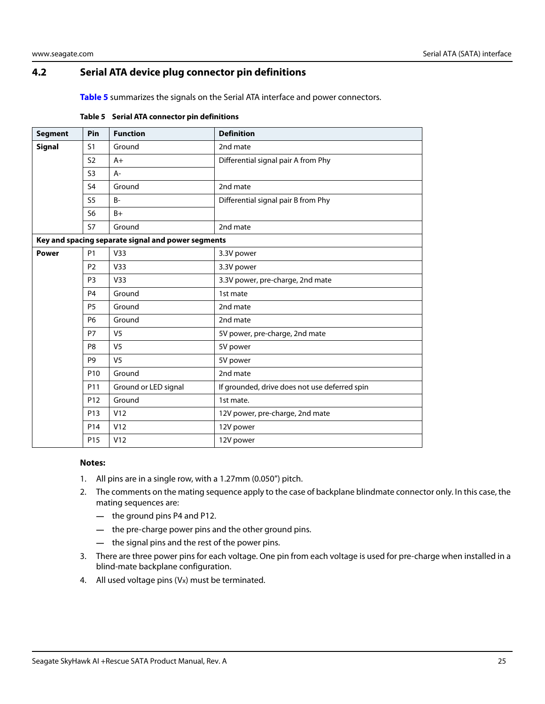## <span id="page-25-0"></span>**4.2 Serial ATA device plug connector pin definitions**

**Table 5** summarizes the signals on the Serial ATA interface and power connectors.

| <b>Segment</b> | Pin             | <b>Function</b>                                    | <b>Definition</b>                             |
|----------------|-----------------|----------------------------------------------------|-----------------------------------------------|
| <b>Signal</b>  | S <sub>1</sub>  | Ground                                             | 2nd mate                                      |
|                | S <sub>2</sub>  | $A+$                                               | Differential signal pair A from Phy           |
|                | S <sub>3</sub>  | A-                                                 |                                               |
|                | S <sub>4</sub>  | Ground                                             | 2nd mate                                      |
|                | S <sub>5</sub>  | $B -$                                              | Differential signal pair B from Phy           |
|                | S <sub>6</sub>  | $B+$                                               |                                               |
|                | S7              | Ground                                             | 2nd mate                                      |
|                |                 | Key and spacing separate signal and power segments |                                               |
| <b>Power</b>   | <b>P1</b>       | V33                                                | 3.3V power                                    |
|                | P <sub>2</sub>  | V <sub>33</sub>                                    | 3.3V power                                    |
|                | P <sub>3</sub>  | V33                                                | 3.3V power, pre-charge, 2nd mate              |
|                | P <sub>4</sub>  | Ground                                             | 1st mate                                      |
|                | P <sub>5</sub>  | Ground                                             | 2nd mate                                      |
|                | <b>P6</b>       | Ground                                             | 2nd mate                                      |
|                | P7              | V <sub>5</sub>                                     | 5V power, pre-charge, 2nd mate                |
|                | P8              | V <sub>5</sub>                                     | 5V power                                      |
|                | P <sub>9</sub>  | V <sub>5</sub>                                     | 5V power                                      |
|                | P <sub>10</sub> | Ground                                             | 2nd mate                                      |
|                | P11             | Ground or LED signal                               | If grounded, drive does not use deferred spin |
|                | P <sub>12</sub> | Ground                                             | 1st mate.                                     |
|                | P <sub>13</sub> | V12                                                | 12V power, pre-charge, 2nd mate               |
|                | P14             | V12                                                | 12V power                                     |
|                | P15             | V12                                                | 12V power                                     |

#### **Table 5 Serial ATA connector pin definitions**

#### **Notes:**

- 1. All pins are in a single row, with a 1.27mm (0.050") pitch.
- 2. The comments on the mating sequence apply to the case of backplane blindmate connector only. In this case, the mating sequences are:
	- **—** the ground pins P4 and P12.
	- **—** the pre-charge power pins and the other ground pins.
	- **—** the signal pins and the rest of the power pins.
- 3. There are three power pins for each voltage. One pin from each voltage is used for pre-charge when installed in a blind-mate backplane configuration.
- 4. All used voltage pins (Vx) must be terminated.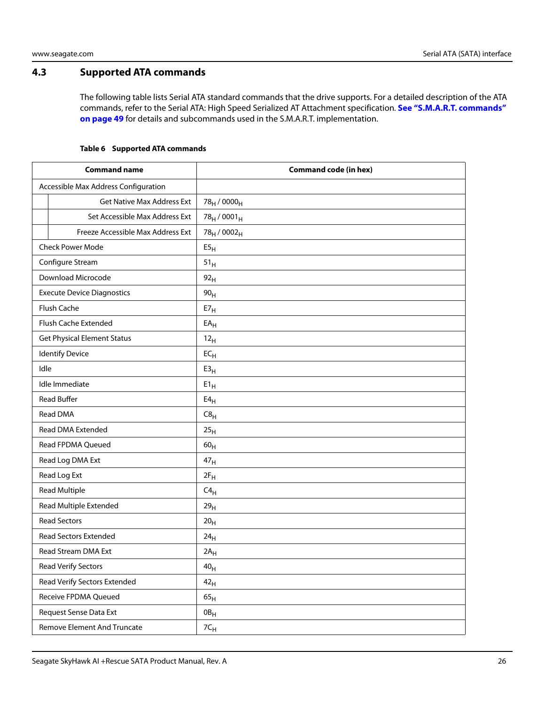## <span id="page-26-0"></span>**4.3 Supported ATA commands**

The following table lists Serial ATA standard commands that the drive supports. For a detailed description of the ATA commands, refer to the Serial ATA: High Speed Serialized AT Attachment specification. **[See "S.M.A.R.T. commands"](#page-49-0)  [on page 49](#page-49-0)** for details and subcommands used in the S.M.A.R.T. implementation.

#### **Table 6 Supported ATA commands**

<span id="page-26-1"></span>

| <b>Command name</b>                  | <b>Command code (in hex)</b>         |
|--------------------------------------|--------------------------------------|
| Accessible Max Address Configuration |                                      |
| Get Native Max Address Ext           | 78 <sub>H</sub> / 0000 <sub>H</sub>  |
| Set Accessible Max Address Ext       | $78_H/0001_H$                        |
| Freeze Accessible Max Address Ext    | 78 <sub>H</sub> / 0002 <sub>H</sub>  |
| <b>Check Power Mode</b>              | $\mathsf{E} \mathsf{5}_{\mathsf{H}}$ |
| Configure Stream                     | 51 <sub>H</sub>                      |
| Download Microcode                   | 92 <sub>H</sub>                      |
| <b>Execute Device Diagnostics</b>    | 90 <sub>H</sub>                      |
| Flush Cache                          | E7 <sub>H</sub>                      |
| Flush Cache Extended                 | $\mathsf{EA}_\mathsf{H}$             |
| <b>Get Physical Element Status</b>   | 12 <sub>H</sub>                      |
| <b>Identify Device</b>               | $EC_{H}$                             |
| Idle                                 | E3 <sub>H</sub>                      |
| Idle Immediate                       | $E1_H$                               |
| <b>Read Buffer</b>                   | $E4_H$                               |
| Read DMA                             | C8 <sub>H</sub>                      |
| Read DMA Extended                    | 25 <sub>H</sub>                      |
| Read FPDMA Queued                    | 60 <sub>H</sub>                      |
| Read Log DMA Ext                     | 47 <sub>H</sub>                      |
| Read Log Ext                         | $2F_H$                               |
| <b>Read Multiple</b>                 | $C4_H$                               |
| Read Multiple Extended               | 29 <sub>H</sub>                      |
| <b>Read Sectors</b>                  | 20 <sub>H</sub>                      |
| <b>Read Sectors Extended</b>         | 24 <sub>H</sub>                      |
| Read Stream DMA Ext                  | $2A_H$                               |
| <b>Read Verify Sectors</b>           | 40 <sub>H</sub>                      |
| Read Verify Sectors Extended         | 42 <sub>H</sub>                      |
| Receive FPDMA Queued                 | 65 <sub>H</sub>                      |
| Request Sense Data Ext               | $0B_H$                               |
| <b>Remove Element And Truncate</b>   | $7 \mathsf{C}_\mathsf{H}$            |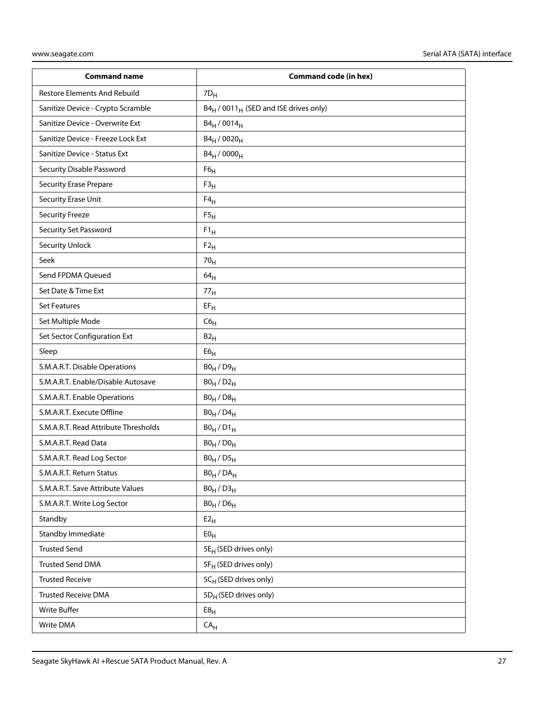| <b>Command name</b>                  | <b>Command code (in hex)</b>                                  |
|--------------------------------------|---------------------------------------------------------------|
| <b>Restore Elements And Rebuild</b>  | $7D_H$                                                        |
| Sanitize Device - Crypto Scramble    | B4 <sub>H</sub> / 0011 <sub>H</sub> (SED and ISE drives only) |
| Sanitize Device - Overwrite Ext      | $B4_H / 0014_H$                                               |
| Sanitize Device - Freeze Lock Ext    | B4 <sub>H</sub> / 0020 <sub>H</sub>                           |
| Sanitize Device - Status Ext         | $B4_H / 0000_H$                                               |
| Security Disable Password            | F6 <sub>H</sub>                                               |
| <b>Security Erase Prepare</b>        | $F3_H$                                                        |
| Security Erase Unit                  | $F4_H$                                                        |
| <b>Security Freeze</b>               | F5 <sub>H</sub>                                               |
| Security Set Password                | $F1_H$                                                        |
| <b>Security Unlock</b>               | $F2_H$                                                        |
| Seek                                 | 70 <sub>H</sub>                                               |
| Send FPDMA Queued                    | 64 <sub>H</sub>                                               |
| Set Date & Time Ext                  | 77 <sub>H</sub>                                               |
| <b>Set Features</b>                  | $EF_H$                                                        |
| Set Multiple Mode                    | C6 <sub>H</sub>                                               |
| Set Sector Configuration Ext         | B2 <sub>H</sub>                                               |
| Sleep                                | E6 <sub>H</sub>                                               |
| S.M.A.R.T. Disable Operations        | $B0_H / D9_H$                                                 |
| S.M.A.R.T. Enable/Disable Autosave   | $B0_H / D2_H$                                                 |
| S.M.A.R.T. Enable Operations         | $B0_H / D8_H$                                                 |
| S.M.A.R.T. Execute Offline           | $B0_H$ / $D4_H$                                               |
| S.M.A.R.T. Read Attribute Thresholds | $B0_H / D1_H$                                                 |
| S.M.A.R.T. Read Data                 | $B0_H / D0_H$                                                 |
| S.M.A.R.T. Read Log Sector           | $B0_H / D5_H$                                                 |
| S.M.A.R.T. Return Status             | $BO_H / DA_H$                                                 |
| S.M.A.R.T. Save Attribute Values     | $B0_H / D3_H$                                                 |
| S.M.A.R.T. Write Log Sector          | $B0_H$ / $D6_H$                                               |
| Standby                              | E2 <sub>H</sub>                                               |
| Standby Immediate                    | E0 <sub>H</sub>                                               |
| <b>Trusted Send</b>                  | 5E <sub>H</sub> (SED drives only)                             |
| <b>Trusted Send DMA</b>              | 5F <sub>H</sub> (SED drives only)                             |
| <b>Trusted Receive</b>               | 5CH (SED drives only)                                         |
| <b>Trusted Receive DMA</b>           | 5D <sub>H</sub> (SED drives only)                             |
| <b>Write Buffer</b>                  | E8 <sub>H</sub>                                               |
| Write DMA                            | CA <sub>H</sub>                                               |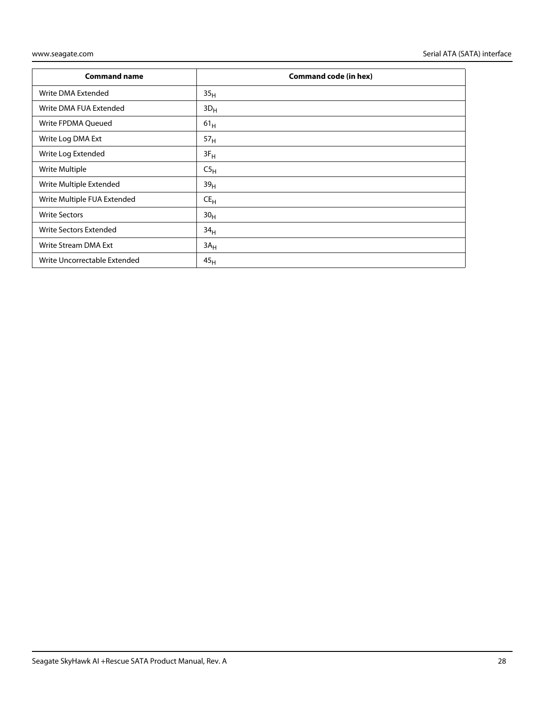| <b>Command name</b>          | <b>Command code (in hex)</b> |
|------------------------------|------------------------------|
| Write DMA Extended           | 35 <sub>H</sub>              |
| Write DMA FUA Extended       | $3D_H$                       |
| Write FPDMA Queued           | 61 <sub>H</sub>              |
| Write Log DMA Ext            | 57 <sub>H</sub>              |
| Write Log Extended           | $3F_H$                       |
| Write Multiple               | C5 <sub>H</sub>              |
| Write Multiple Extended      | 39 <sub>H</sub>              |
| Write Multiple FUA Extended  | $CE_{H}$                     |
| <b>Write Sectors</b>         | 30 <sub>H</sub>              |
| Write Sectors Extended       | 34 <sub>H</sub>              |
| Write Stream DMA Ext         | $3A_H$                       |
| Write Uncorrectable Extended | 45 <sub>H</sub>              |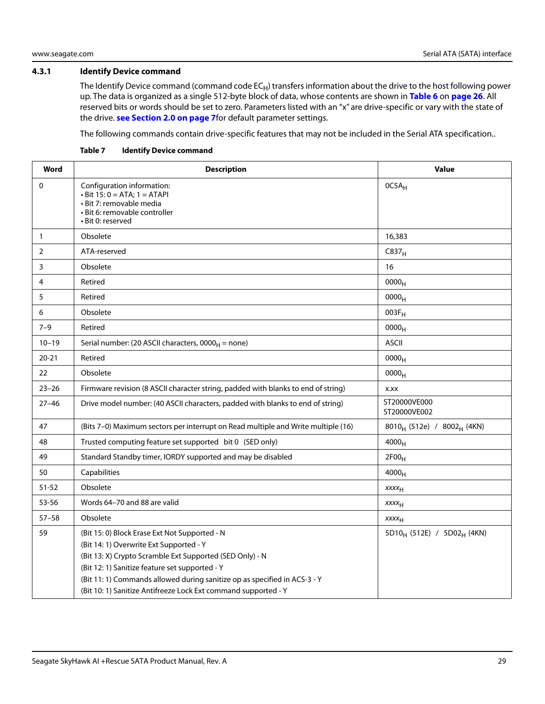#### <span id="page-29-0"></span>**4.3.1 Identify Device command**

The Identify Device command (command code  $EC_H$ ) transfers information about the drive to the host following power up. The data is organized as a single 512-byte block of data, whose contents are shown in **[Table 6](#page-26-1)** on **[page 26](#page-26-1)**. All reserved bits or words should be set to zero. Parameters listed with an "x" are drive-specific or vary with the state of the drive. **[see Section 2.0 on page 7](#page-7-0)**for default parameter settings.

The following commands contain drive-specific features that may not be included in the Serial ATA specification..

| Word           | <b>Description</b>                                                                                                                                                                                                                                                                                                                                    | <b>Value</b>                                       |
|----------------|-------------------------------------------------------------------------------------------------------------------------------------------------------------------------------------------------------------------------------------------------------------------------------------------------------------------------------------------------------|----------------------------------------------------|
| $\mathbf 0$    | Configuration information:<br>$\cdot$ Bit 15: 0 = ATA; 1 = ATAPI<br>· Bit 7: removable media<br>· Bit 6: removable controller<br>• Bit 0: reserved                                                                                                                                                                                                    | $OCSA_H$                                           |
| $\mathbf{1}$   | Obsolete                                                                                                                                                                                                                                                                                                                                              | 16,383                                             |
| $\overline{2}$ | ATA-reserved                                                                                                                                                                                                                                                                                                                                          | C837 <sub>H</sub>                                  |
| 3              | Obsolete                                                                                                                                                                                                                                                                                                                                              | 16                                                 |
| 4              | Retired                                                                                                                                                                                                                                                                                                                                               | 0000 <sub>H</sub>                                  |
| 5              | Retired                                                                                                                                                                                                                                                                                                                                               | 0000 <sub>H</sub>                                  |
| 6              | Obsolete                                                                                                                                                                                                                                                                                                                                              | $003F_H$                                           |
| $7 - 9$        | Retired                                                                                                                                                                                                                                                                                                                                               | 0000 <sub>H</sub>                                  |
| $10 - 19$      | Serial number: (20 ASCII characters, 0000 $_{H}$ = none)                                                                                                                                                                                                                                                                                              | <b>ASCII</b>                                       |
| $20 - 21$      | Retired                                                                                                                                                                                                                                                                                                                                               | 0000 <sub>H</sub>                                  |
| 22             | Obsolete                                                                                                                                                                                                                                                                                                                                              | 0000 <sub>H</sub>                                  |
| $23 - 26$      | Firmware revision (8 ASCII character string, padded with blanks to end of string)                                                                                                                                                                                                                                                                     | X.XX                                               |
| $27 - 46$      | Drive model number: (40 ASCII characters, padded with blanks to end of string)                                                                                                                                                                                                                                                                        | ST20000VE000<br>ST20000VE002                       |
| 47             | (Bits 7-0) Maximum sectors per interrupt on Read multiple and Write multiple (16)                                                                                                                                                                                                                                                                     | 8010 <sub>H</sub> (512e) / 8002 <sub>H</sub> (4KN) |
| 48             | Trusted computing feature set supported bit 0 (SED only)                                                                                                                                                                                                                                                                                              | $4000_H$                                           |
| 49             | Standard Standby timer, IORDY supported and may be disabled                                                                                                                                                                                                                                                                                           | 2F00 <sub>H</sub>                                  |
| 50             | Capabilities                                                                                                                                                                                                                                                                                                                                          | 4000 <sub>H</sub>                                  |
| $51 - 52$      | Obsolete                                                                                                                                                                                                                                                                                                                                              | <b>XXXXH</b>                                       |
| 53-56          | Words 64-70 and 88 are valid                                                                                                                                                                                                                                                                                                                          | <b>XXXX<sub>H</sub></b>                            |
| $57 - 58$      | Obsolete                                                                                                                                                                                                                                                                                                                                              | <b>XXXX<sub>H</sub></b>                            |
| 59             | (Bit 15: 0) Block Erase Ext Not Supported - N<br>(Bit 14: 1) Overwrite Ext Supported - Y<br>(Bit 13: X) Crypto Scramble Ext Supported (SED Only) - N<br>(Bit 12: 1) Sanitize feature set supported - Y<br>(Bit 11: 1) Commands allowed during sanitize op as specified in ACS-3 - Y<br>(Bit 10: 1) Sanitize Antifreeze Lock Ext command supported - Y | 5D10 <sub>H</sub> (512E) / 5D02 <sub>H</sub> (4KN) |

**Table 7 Identify Device command**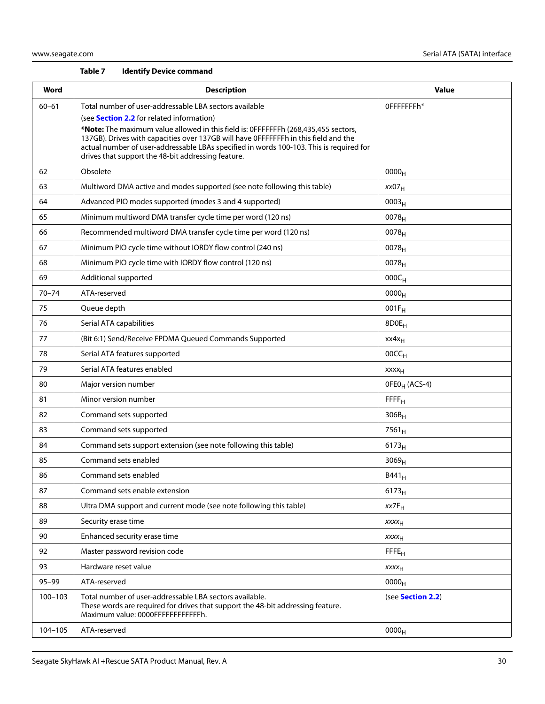#### **Table 7 Identify Device command**

| Word        | <b>Description</b>                                                                                                                                                                                                                                                                                                                                                                                                                       | <b>Value</b>              |
|-------------|------------------------------------------------------------------------------------------------------------------------------------------------------------------------------------------------------------------------------------------------------------------------------------------------------------------------------------------------------------------------------------------------------------------------------------------|---------------------------|
| $60 - 61$   | Total number of user-addressable LBA sectors available<br>(see <b>Section 2.2</b> for related information)<br>*Note: The maximum value allowed in this field is: 0FFFFFFFh (268,435,455 sectors,<br>137GB). Drives with capacities over 137GB will have 0FFFFFFFh in this field and the<br>actual number of user-addressable LBAs specified in words 100-103. This is required for<br>drives that support the 48-bit addressing feature. | 0FFFFFFFh*                |
| 62          | Obsolete                                                                                                                                                                                                                                                                                                                                                                                                                                 | 0000 <sub>H</sub>         |
| 63          | Multiword DMA active and modes supported (see note following this table)                                                                                                                                                                                                                                                                                                                                                                 | xx07 <sub>H</sub>         |
| 64          | Advanced PIO modes supported (modes 3 and 4 supported)                                                                                                                                                                                                                                                                                                                                                                                   | 0003 <sub>H</sub>         |
| 65          | Minimum multiword DMA transfer cycle time per word (120 ns)                                                                                                                                                                                                                                                                                                                                                                              | $0078_{H}$                |
| 66          | Recommended multiword DMA transfer cycle time per word (120 ns)                                                                                                                                                                                                                                                                                                                                                                          | $0078_{H}$                |
| 67          | Minimum PIO cycle time without IORDY flow control (240 ns)                                                                                                                                                                                                                                                                                                                                                                               | 0078 <sub>H</sub>         |
| 68          | Minimum PIO cycle time with IORDY flow control (120 ns)                                                                                                                                                                                                                                                                                                                                                                                  | $0078_H$                  |
| 69          | Additional supported                                                                                                                                                                                                                                                                                                                                                                                                                     | $000C_H$                  |
| $70 - 74$   | ATA-reserved                                                                                                                                                                                                                                                                                                                                                                                                                             | $0000_{H}$                |
| 75          | Queue depth                                                                                                                                                                                                                                                                                                                                                                                                                              | $001F_H$                  |
| 76          | Serial ATA capabilities                                                                                                                                                                                                                                                                                                                                                                                                                  | 8D0E <sub>H</sub>         |
| 77          | (Bit 6:1) Send/Receive FPDMA Queued Commands Supported                                                                                                                                                                                                                                                                                                                                                                                   | $xx4x_H$                  |
| 78          | Serial ATA features supported                                                                                                                                                                                                                                                                                                                                                                                                            | 00CC <sub>H</sub>         |
| 79          | Serial ATA features enabled                                                                                                                                                                                                                                                                                                                                                                                                              | xxxx <sub>H</sub>         |
| 80          | Major version number                                                                                                                                                                                                                                                                                                                                                                                                                     | OFEO <sub>H</sub> (ACS-4) |
| 81          | Minor version number                                                                                                                                                                                                                                                                                                                                                                                                                     | $F$ $F$ $F$ $H$           |
| 82          | Command sets supported                                                                                                                                                                                                                                                                                                                                                                                                                   | $306B_H$                  |
| 83          | Command sets supported                                                                                                                                                                                                                                                                                                                                                                                                                   | $7561_H$                  |
| 84          | Command sets support extension (see note following this table)                                                                                                                                                                                                                                                                                                                                                                           | $6173_H$                  |
| 85          | Command sets enabled                                                                                                                                                                                                                                                                                                                                                                                                                     | 3069 <sub>H</sub>         |
| 86          | Command sets enabled                                                                                                                                                                                                                                                                                                                                                                                                                     | $B441_H$                  |
| 87          | Command sets enable extension                                                                                                                                                                                                                                                                                                                                                                                                            | 6173 <sub>H</sub>         |
| 88          | Ultra DMA support and current mode (see note following this table)                                                                                                                                                                                                                                                                                                                                                                       | $xx7F_H$                  |
| 89          | Security erase time                                                                                                                                                                                                                                                                                                                                                                                                                      | XXXH                      |
| 90          | Enhanced security erase time                                                                                                                                                                                                                                                                                                                                                                                                             | <b>XXXX<sub>H</sub></b>   |
| 92          | Master password revision code                                                                                                                                                                                                                                                                                                                                                                                                            | FFE <sub>H</sub>          |
| 93          | Hardware reset value                                                                                                                                                                                                                                                                                                                                                                                                                     | <b>XXXX<sub>H</sub></b>   |
| $95 - 99$   | ATA-reserved                                                                                                                                                                                                                                                                                                                                                                                                                             | 0000 <sub>H</sub>         |
| $100 - 103$ | Total number of user-addressable LBA sectors available.<br>These words are required for drives that support the 48-bit addressing feature.<br>Maximum value: 0000FFFFFFFFFFFFh.                                                                                                                                                                                                                                                          | (see Section 2.2)         |
| 104-105     | ATA-reserved                                                                                                                                                                                                                                                                                                                                                                                                                             | 0000 <sub>H</sub>         |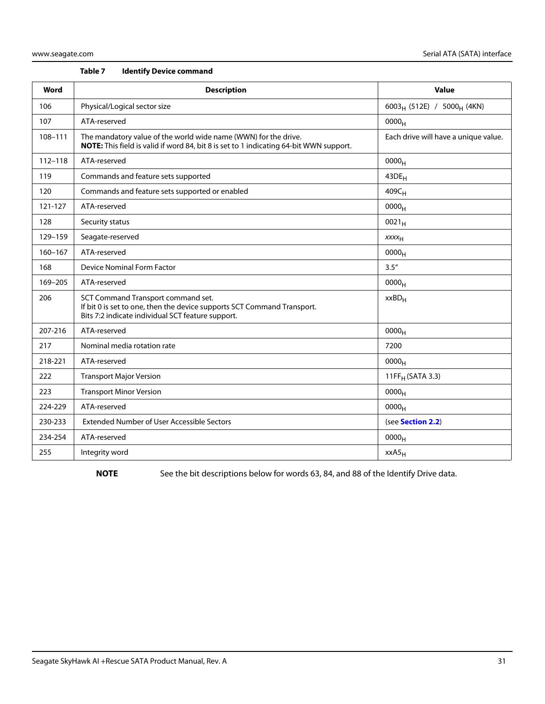| Table 7 |  |  | <b>Identify Device command</b> |
|---------|--|--|--------------------------------|
|---------|--|--|--------------------------------|

| Word        | <b>Description</b>                                                                                                                                                 | <b>Value</b>                                       |
|-------------|--------------------------------------------------------------------------------------------------------------------------------------------------------------------|----------------------------------------------------|
| 106         | Physical/Logical sector size                                                                                                                                       | 6003 <sub>H</sub> (512E) / 5000 <sub>H</sub> (4KN) |
| 107         | ATA-reserved                                                                                                                                                       | 0000 <sub>H</sub>                                  |
| 108-111     | The mandatory value of the world wide name (WWN) for the drive.<br>NOTE: This field is valid if word 84, bit 8 is set to 1 indicating 64-bit WWN support.          | Each drive will have a unique value.               |
| $112 - 118$ | ATA-reserved                                                                                                                                                       | 0000 <sub>H</sub>                                  |
| 119         | Commands and feature sets supported                                                                                                                                | $43DE_H$                                           |
| 120         | Commands and feature sets supported or enabled                                                                                                                     | 409C <sub>H</sub>                                  |
| 121-127     | ATA-reserved                                                                                                                                                       | 0000 <sub>H</sub>                                  |
| 128         | Security status                                                                                                                                                    | $0021_H$                                           |
| 129-159     | Seagate-reserved                                                                                                                                                   | $xxxx_{H}$                                         |
| $160 - 167$ | ATA-reserved                                                                                                                                                       | 0000 <sub>H</sub>                                  |
| 168         | <b>Device Nominal Form Factor</b>                                                                                                                                  | 3.5''                                              |
| 169-205     | ATA-reserved                                                                                                                                                       | 0000 <sub>H</sub>                                  |
| 206         | SCT Command Transport command set.<br>If bit 0 is set to one, then the device supports SCT Command Transport.<br>Bits 7:2 indicate individual SCT feature support. | $xxBD_H$                                           |
| 207-216     | ATA-reserved                                                                                                                                                       | 0000 <sub>H</sub>                                  |
| 217         | Nominal media rotation rate                                                                                                                                        | 7200                                               |
| 218-221     | ATA-reserved                                                                                                                                                       | 0000 <sub>H</sub>                                  |
| 222         | <b>Transport Major Version</b>                                                                                                                                     | 11FF <sub>H</sub> (SATA 3.3)                       |
| 223         | <b>Transport Minor Version</b>                                                                                                                                     | $0000_{H}$                                         |
| 224-229     | ATA-reserved                                                                                                                                                       | 0000 <sub>H</sub>                                  |
| 230-233     | <b>Extended Number of User Accessible Sectors</b>                                                                                                                  | (see Section 2.2)                                  |
| 234-254     | ATA-reserved                                                                                                                                                       | 0000 <sub>H</sub>                                  |
| 255         | Integrity word                                                                                                                                                     | xxA5 <sub>H</sub>                                  |

NOTE See the bit descriptions below for words 63, 84, and 88 of the Identify Drive data.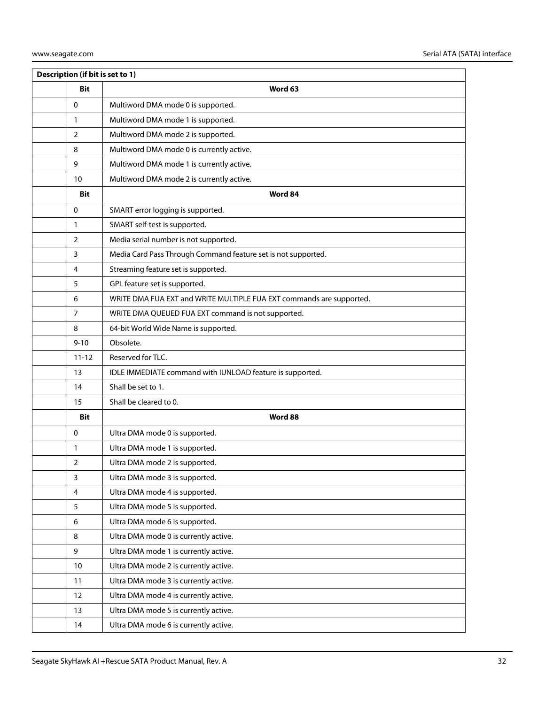| Description (if bit is set to 1) |                                                                      |  |  |  |
|----------------------------------|----------------------------------------------------------------------|--|--|--|
| <b>Bit</b>                       | Word 63                                                              |  |  |  |
| 0                                | Multiword DMA mode 0 is supported.                                   |  |  |  |
| 1                                | Multiword DMA mode 1 is supported.                                   |  |  |  |
| $\overline{2}$                   | Multiword DMA mode 2 is supported.                                   |  |  |  |
| 8                                | Multiword DMA mode 0 is currently active.                            |  |  |  |
| 9                                | Multiword DMA mode 1 is currently active.                            |  |  |  |
| 10                               | Multiword DMA mode 2 is currently active.                            |  |  |  |
| <b>Bit</b>                       | Word 84                                                              |  |  |  |
| $\Omega$                         | SMART error logging is supported.                                    |  |  |  |
| 1                                | SMART self-test is supported.                                        |  |  |  |
| 2                                | Media serial number is not supported.                                |  |  |  |
| 3                                | Media Card Pass Through Command feature set is not supported.        |  |  |  |
| 4                                | Streaming feature set is supported.                                  |  |  |  |
| 5                                | GPL feature set is supported.                                        |  |  |  |
| 6                                | WRITE DMA FUA EXT and WRITE MULTIPLE FUA EXT commands are supported. |  |  |  |
| 7                                | WRITE DMA QUEUED FUA EXT command is not supported.                   |  |  |  |
| 8                                | 64-bit World Wide Name is supported.                                 |  |  |  |
| $9 - 10$                         | Obsolete.                                                            |  |  |  |
| $11 - 12$                        | Reserved for TLC.                                                    |  |  |  |
| 13                               | IDLE IMMEDIATE command with IUNLOAD feature is supported.            |  |  |  |
| 14                               | Shall be set to 1.                                                   |  |  |  |
| 15                               | Shall be cleared to 0.                                               |  |  |  |
| Bit                              | Word 88                                                              |  |  |  |
| 0                                | Ultra DMA mode 0 is supported.                                       |  |  |  |
| 1                                | Ultra DMA mode 1 is supported.                                       |  |  |  |
| $\overline{2}$                   | Ultra DMA mode 2 is supported.                                       |  |  |  |
| 3                                | Ultra DMA mode 3 is supported.                                       |  |  |  |
| 4                                | Ultra DMA mode 4 is supported.                                       |  |  |  |
| 5                                | Ultra DMA mode 5 is supported.                                       |  |  |  |
| 6                                | Ultra DMA mode 6 is supported.                                       |  |  |  |
| 8                                | Ultra DMA mode 0 is currently active.                                |  |  |  |
| 9                                | Ultra DMA mode 1 is currently active.                                |  |  |  |
| 10                               | Ultra DMA mode 2 is currently active.                                |  |  |  |
| 11                               | Ultra DMA mode 3 is currently active.                                |  |  |  |
| 12                               | Ultra DMA mode 4 is currently active.                                |  |  |  |
| 13                               | Ultra DMA mode 5 is currently active.                                |  |  |  |
| 14                               | Ultra DMA mode 6 is currently active.                                |  |  |  |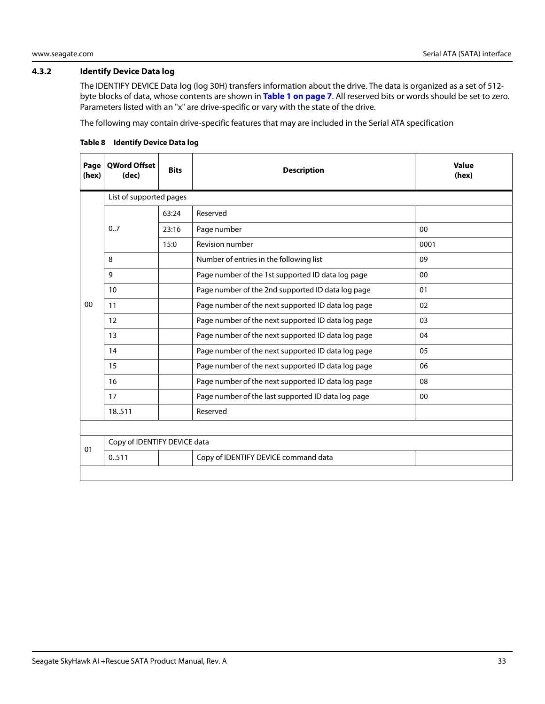#### <span id="page-33-0"></span>**4.3.2 Identify Device Data log**

The IDENTIFY DEVICE Data log (log 30H) transfers information about the drive. The data is organized as a set of 512 byte blocks of data, whose contents are shown in **[Table 1 on page 7](#page-7-2)**. All reserved bits or words should be set to zero. Parameters listed with an "x" are drive-specific or vary with the state of the drive.

The following may contain drive-specific features that may are included in the Serial ATA specification

| Page<br>(hex) | <b>OWord Offset</b><br>(dec) | <b>Bits</b> | <b>Description</b>                                 | <b>Value</b><br>(hex) |
|---------------|------------------------------|-------------|----------------------------------------------------|-----------------------|
|               | List of supported pages      |             |                                                    |                       |
|               |                              | 63:24       | Reserved                                           |                       |
|               | 0.7                          | 23:16       | Page number                                        | 00                    |
|               |                              | 15:0        | <b>Revision number</b>                             | 0001                  |
|               | 8                            |             | Number of entries in the following list            | 09                    |
|               | 9                            |             | Page number of the 1st supported ID data log page  | 00                    |
|               | 10                           |             | Page number of the 2nd supported ID data log page  | 01                    |
| $00\,$        | 11                           |             | Page number of the next supported ID data log page | 02                    |
|               | 12                           |             | Page number of the next supported ID data log page | 03                    |
|               | 13                           |             | Page number of the next supported ID data log page | 04                    |
|               | 14                           |             | Page number of the next supported ID data log page | 05                    |
|               | 15                           |             | Page number of the next supported ID data log page | 06                    |
|               | 16                           |             | Page number of the next supported ID data log page | 08                    |
|               | 17                           |             | Page number of the last supported ID data log page | $00\,$                |
|               | 18.511                       |             | Reserved                                           |                       |
|               |                              |             |                                                    |                       |
| 01            | Copy of IDENTIFY DEVICE data |             |                                                    |                       |
|               | 0.511                        |             | Copy of IDENTIFY DEVICE command data               |                       |
|               |                              |             |                                                    |                       |

#### **Table 8 Identify Device Data log**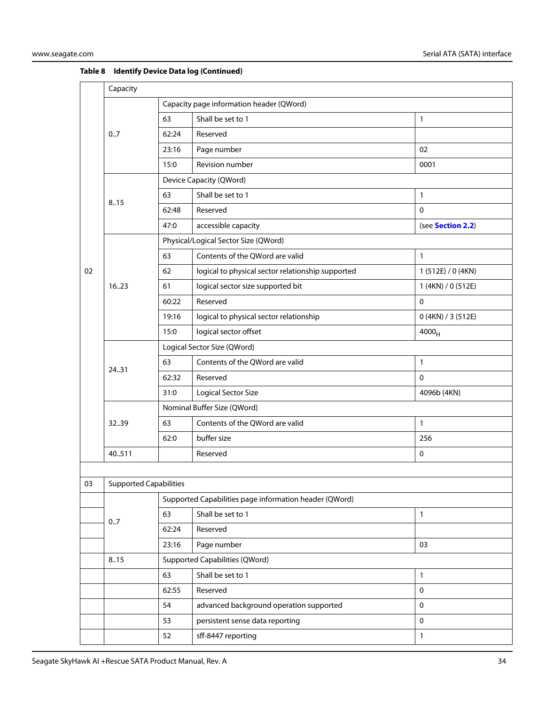|    | Capacity                                               |                                          |                                                   |                    |  |
|----|--------------------------------------------------------|------------------------------------------|---------------------------------------------------|--------------------|--|
|    |                                                        | Capacity page information header (QWord) |                                                   |                    |  |
|    |                                                        | 63                                       | Shall be set to 1                                 | 1                  |  |
|    | 0.7                                                    | 62:24                                    | Reserved                                          |                    |  |
|    |                                                        | 23:16                                    | Page number                                       | 02                 |  |
|    |                                                        | 15:0                                     | Revision number                                   | 0001               |  |
|    |                                                        | Device Capacity (QWord)                  |                                                   |                    |  |
|    | 8.15                                                   | 63                                       | Shall be set to 1                                 | 1                  |  |
|    |                                                        | 62:48                                    | Reserved                                          | $\mathbf 0$        |  |
|    |                                                        | 47:0                                     | accessible capacity                               | (see Section 2.2)  |  |
|    |                                                        |                                          | Physical/Logical Sector Size (QWord)              |                    |  |
|    |                                                        | 63                                       | Contents of the QWord are valid                   | 1                  |  |
| 02 |                                                        | 62                                       | logical to physical sector relationship supported | 1 (512E) / 0 (4KN) |  |
|    | 16.23                                                  | 61                                       | logical sector size supported bit                 | 1 (4KN) / 0 (512E) |  |
|    |                                                        | 60:22                                    | Reserved                                          | 0                  |  |
|    |                                                        | 19:16                                    | logical to physical sector relationship           | 0 (4KN) / 3 (512E) |  |
|    |                                                        | 15:0                                     | logical sector offset                             | $4000_H$           |  |
|    |                                                        | Logical Sector Size (QWord)              |                                                   |                    |  |
|    | 2431                                                   | 63                                       | Contents of the QWord are valid                   | $\mathbf{1}$       |  |
|    |                                                        | 62:32                                    | Reserved                                          | $\mathbf 0$        |  |
|    |                                                        | 31:0                                     | <b>Logical Sector Size</b>                        | 4096b (4KN)        |  |
|    |                                                        | Nominal Buffer Size (QWord)              |                                                   |                    |  |
|    | 3239                                                   | 63                                       | Contents of the QWord are valid                   | 1                  |  |
|    |                                                        | 62:0                                     | buffer size                                       | 256                |  |
|    | 40.511                                                 |                                          | Reserved                                          | $\mathbf 0$        |  |
|    |                                                        |                                          |                                                   |                    |  |
| 03 | <b>Supported Capabilities</b>                          |                                          |                                                   |                    |  |
|    | Supported Capabilities page information header (QWord) |                                          |                                                   |                    |  |
|    | 0.7                                                    | 63                                       | Shall be set to 1                                 | $\mathbf{1}$       |  |
|    |                                                        | 62:24                                    | Reserved                                          |                    |  |
|    |                                                        | 23:16                                    | Page number                                       | 03                 |  |
|    | 8.15                                                   |                                          | <b>Supported Capabilities (QWord)</b>             |                    |  |

63 Shall be set to 1 1 62:55 Reserved 0 54 advanced background operation supported 0 53 persistent sense data reporting density of the persistent sense data reporting 52 sff-8447 reporting 1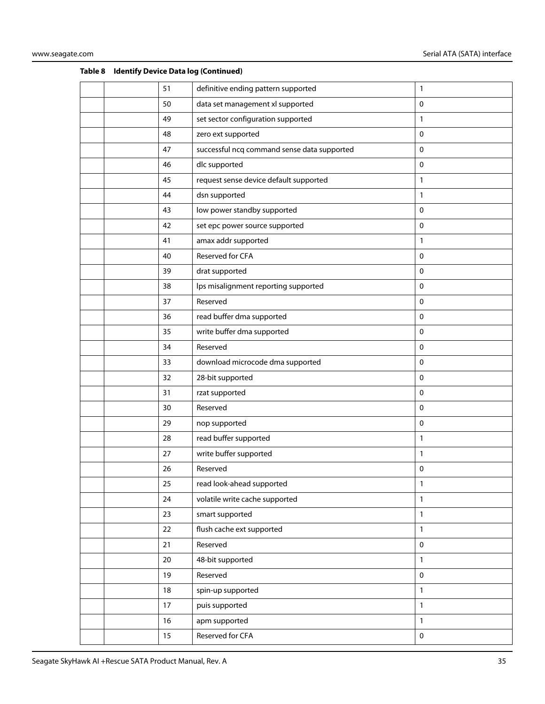|  | 51 | definitive ending pattern supported         | 1            |
|--|----|---------------------------------------------|--------------|
|  | 50 | data set management xl supported            | $\mathbf 0$  |
|  | 49 | set sector configuration supported          | 1            |
|  | 48 | zero ext supported                          | 0            |
|  | 47 | successful ncq command sense data supported | $\pmb{0}$    |
|  | 46 | dlc supported                               | $\mathbf 0$  |
|  | 45 | request sense device default supported      | $\mathbf{1}$ |
|  | 44 | dsn supported                               | 1            |
|  | 43 | low power standby supported                 | 0            |
|  | 42 | set epc power source supported              | 0            |
|  | 41 | amax addr supported                         | 1            |
|  | 40 | Reserved for CFA                            | $\mathbf 0$  |
|  | 39 | drat supported                              | $\mathbf 0$  |
|  | 38 | lps misalignment reporting supported        | 0            |
|  | 37 | Reserved                                    | $\pmb{0}$    |
|  | 36 | read buffer dma supported                   | 0            |
|  | 35 | write buffer dma supported                  | 0            |
|  | 34 | Reserved                                    | 0            |
|  | 33 | download microcode dma supported            | 0            |
|  | 32 | 28-bit supported                            | $\mathbf 0$  |
|  | 31 | rzat supported                              | 0            |
|  | 30 | Reserved                                    | $\mathbf 0$  |
|  | 29 | nop supported                               | 0            |
|  | 28 | read buffer supported                       | 1            |
|  | 27 | write buffer supported                      | $\mathbf{1}$ |
|  | 26 | Reserved                                    | 0            |
|  | 25 | read look-ahead supported                   | 1            |
|  | 24 | volatile write cache supported              | $\mathbf{1}$ |
|  | 23 | smart supported                             | 1            |
|  | 22 | flush cache ext supported                   | 1            |
|  | 21 | Reserved                                    | $\pmb{0}$    |
|  | 20 | 48-bit supported                            | $\mathbf{1}$ |
|  | 19 | Reserved                                    | $\pmb{0}$    |
|  | 18 | spin-up supported                           | $\mathbf{1}$ |
|  | 17 | puis supported                              | $\mathbf{1}$ |
|  | 16 | apm supported                               | $\mathbf{1}$ |
|  | 15 | Reserved for CFA                            | $\pmb{0}$    |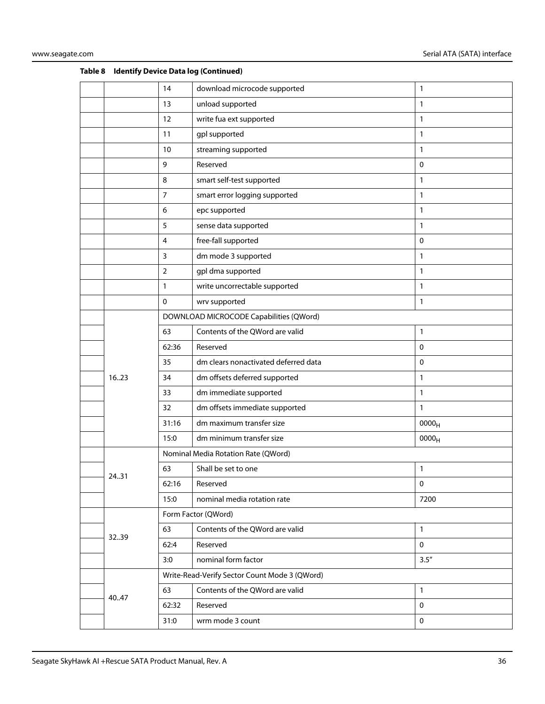|       | 14             | download microcode supported                  | 1                 |
|-------|----------------|-----------------------------------------------|-------------------|
|       | 13             | unload supported                              | 1                 |
|       | 12             | write fua ext supported                       | 1                 |
|       | 11             | gpl supported                                 | 1                 |
|       | 10             | streaming supported                           | 1                 |
|       | 9              | Reserved                                      | $\mathbf 0$       |
|       | 8              | smart self-test supported                     | 1                 |
|       | $\overline{7}$ | smart error logging supported                 | 1                 |
|       | 6              | epc supported                                 | 1                 |
|       | 5              | sense data supported                          | 1                 |
|       | $\overline{4}$ | free-fall supported                           | $\mathbf 0$       |
|       | $\mathbf{3}$   | dm mode 3 supported                           | 1                 |
|       | $\overline{2}$ | gpl dma supported                             | 1                 |
|       | $\mathbf{1}$   | write uncorrectable supported                 | 1                 |
|       | 0              | wrv supported                                 | 1                 |
|       |                | DOWNLOAD MICROCODE Capabilities (QWord)       |                   |
|       | 63             | Contents of the QWord are valid               | 1                 |
|       | 62:36          | Reserved                                      | $\mathbf 0$       |
|       | 35             | dm clears nonactivated deferred data          | 0                 |
| 16.23 | 34             | dm offsets deferred supported                 | 1                 |
|       | 33             | dm immediate supported                        | 1                 |
|       | 32             | dm offsets immediate supported                | $\mathbf{1}$      |
|       | 31:16          | dm maximum transfer size                      | 0000 <sub>H</sub> |
|       | 15:0           | dm minimum transfer size                      | 0000 <sub>H</sub> |
|       |                | Nominal Media Rotation Rate (QWord)           |                   |
|       | 63             | Shall be set to one                           | 1                 |
| 24.31 | 62:16          | Reserved                                      | $\pmb{0}$         |
|       | 15:0           | nominal media rotation rate                   | 7200              |
|       |                | Form Factor (QWord)                           |                   |
|       | 63             | Contents of the QWord are valid               | 1                 |
| 3239  | 62:4           | Reserved                                      | $\mathbf 0$       |
|       | 3:0            | nominal form factor                           | 3.5''             |
|       |                | Write-Read-Verify Sector Count Mode 3 (QWord) |                   |
|       | 63             | Contents of the QWord are valid               | 1                 |
| 40.47 | 62:32          | Reserved                                      | $\mathsf 0$       |
|       | 31:0           | wrm mode 3 count                              | $\pmb{0}$         |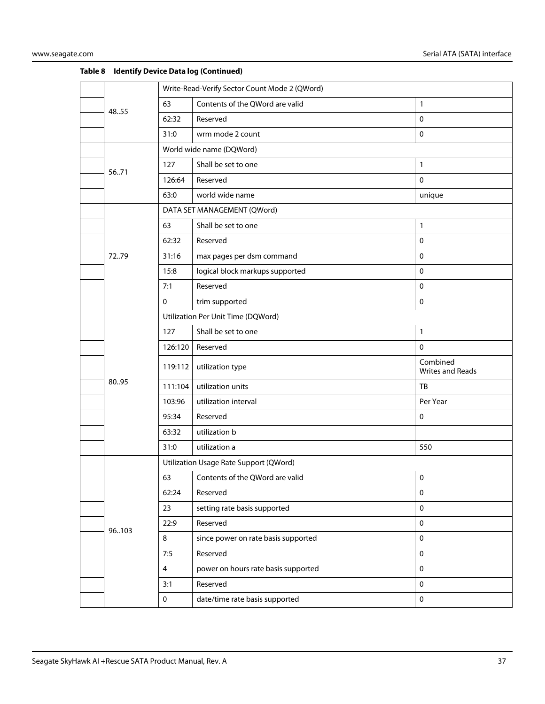|  |       |              | Write-Read-Verify Sector Count Mode 2 (QWord) |                              |  |
|--|-------|--------------|-----------------------------------------------|------------------------------|--|
|  | 48.55 | 63           | Contents of the QWord are valid               | $\mathbf{1}$                 |  |
|  |       | 62:32        | Reserved                                      | $\mathbf 0$                  |  |
|  |       | 31:0         | wrm mode 2 count                              | $\mathbf 0$                  |  |
|  |       |              | World wide name (DQWord)                      |                              |  |
|  | 5671  | 127          | Shall be set to one                           | $\mathbf{1}$                 |  |
|  |       | 126:64       | Reserved                                      | $\mathbf 0$                  |  |
|  |       | 63:0         | world wide name                               | unique                       |  |
|  |       |              | DATA SET MANAGEMENT (QWord)                   |                              |  |
|  |       | 63           | Shall be set to one                           | $\mathbf{1}$                 |  |
|  |       | 62:32        | Reserved                                      | $\mathbf 0$                  |  |
|  | 7279  | 31:16        | max pages per dsm command                     | $\mathbf 0$                  |  |
|  |       | 15:8         | logical block markups supported               | $\mathbf 0$                  |  |
|  |       | 7:1          | Reserved                                      | $\mathbf 0$                  |  |
|  |       | $\mathbf 0$  | trim supported                                | $\mathsf 0$                  |  |
|  |       |              | Utilization Per Unit Time (DQWord)            |                              |  |
|  |       | 127          | Shall be set to one                           | $\mathbf{1}$                 |  |
|  |       | 126:120      | Reserved                                      | $\mathbf 0$                  |  |
|  |       | 119:112      | utilization type                              | Combined<br>Writes and Reads |  |
|  | 80.95 | 111:104      | utilization units                             | TB                           |  |
|  |       | 103:96       | utilization interval                          | Per Year                     |  |
|  |       | 95:34        | Reserved                                      | 0                            |  |
|  |       | 63:32        | utilization b                                 |                              |  |
|  |       | 31:0         | utilization a                                 | 550                          |  |
|  |       |              | Utilization Usage Rate Support (QWord)        |                              |  |
|  |       | 63           | Contents of the QWord are valid               | $\pmb{0}$                    |  |
|  |       | 62:24        | Reserved                                      | $\pmb{0}$                    |  |
|  |       | 23           | setting rate basis supported                  | $\mathbf 0$                  |  |
|  | 96103 | 22:9         | Reserved                                      | $\pmb{0}$                    |  |
|  |       | 8            | since power on rate basis supported           | $\mathbf 0$                  |  |
|  |       | 7:5          | Reserved                                      | $\mathbf 0$                  |  |
|  |       | 4            | power on hours rate basis supported           | $\mathbf 0$                  |  |
|  |       | 3:1          | Reserved                                      | $\mathbf 0$                  |  |
|  |       | $\mathbf{0}$ | date/time rate basis supported                | $\mathbf 0$                  |  |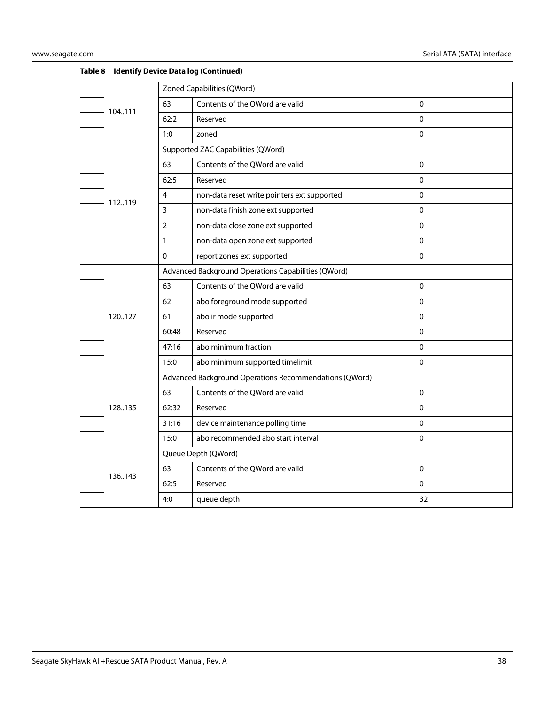|  |         | Zoned Capabilities (QWord) |                                                        |             |
|--|---------|----------------------------|--------------------------------------------------------|-------------|
|  | 104.111 | 63                         | Contents of the QWord are valid                        | $\Omega$    |
|  |         | 62:2                       | Reserved                                               | 0           |
|  |         | 1:0                        | zoned                                                  | $\Omega$    |
|  |         |                            | Supported ZAC Capabilities (QWord)                     |             |
|  |         | 63                         | Contents of the QWord are valid                        | $\pmb{0}$   |
|  |         | 62:5                       | Reserved                                               | $\mathbf 0$ |
|  | 112119  | 4                          | non-data reset write pointers ext supported            | $\Omega$    |
|  |         | 3                          | non-data finish zone ext supported                     | 0           |
|  |         | $\overline{2}$             | non-data close zone ext supported                      | 0           |
|  |         | $\mathbf{1}$               | non-data open zone ext supported                       | $\Omega$    |
|  |         | $\mathbf{0}$               | report zones ext supported                             | $\Omega$    |
|  |         |                            | Advanced Background Operations Capabilities (QWord)    |             |
|  |         | 63                         | Contents of the QWord are valid                        | $\mathbf 0$ |
|  |         | 62                         | abo foreground mode supported                          | $\Omega$    |
|  | 120127  | 61                         | abo ir mode supported                                  | 0           |
|  |         | 60:48                      | Reserved                                               | $\Omega$    |
|  |         | 47:16                      | abo minimum fraction                                   | $\Omega$    |
|  |         | 15:0                       | abo minimum supported timelimit                        | 0           |
|  |         |                            | Advanced Background Operations Recommendations (QWord) |             |
|  |         | 63                         | Contents of the QWord are valid                        | $\Omega$    |
|  | 128.135 | 62:32                      | Reserved                                               | $\mathbf 0$ |
|  |         | 31:16                      | device maintenance polling time                        | $\Omega$    |
|  |         | 15:0                       | abo recommended abo start interval                     | $\Omega$    |
|  |         |                            | Queue Depth (QWord)                                    |             |
|  | 136.143 | 63                         | Contents of the QWord are valid                        | $\mathbf 0$ |
|  |         | 62:5                       | Reserved                                               | $\Omega$    |
|  |         | 4:0                        | queue depth                                            | 32          |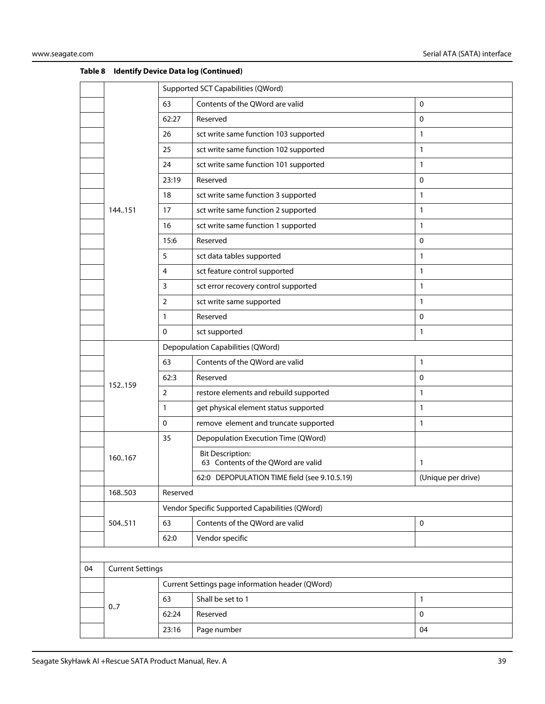|    |                         |                                                | Supported SCT Capabilities (QWord)                            |                    |  |
|----|-------------------------|------------------------------------------------|---------------------------------------------------------------|--------------------|--|
|    |                         | 63                                             | Contents of the QWord are valid                               | $\mathbf 0$        |  |
|    |                         | 62:27                                          | Reserved                                                      | 0                  |  |
|    |                         | 26                                             | sct write same function 103 supported                         | $\mathbf{1}$       |  |
|    |                         | 25                                             | sct write same function 102 supported                         | 1                  |  |
|    |                         | 24                                             | sct write same function 101 supported                         | 1                  |  |
|    |                         | 23:19                                          | Reserved                                                      | $\mathbf 0$        |  |
|    |                         | 18                                             | sct write same function 3 supported                           | 1                  |  |
|    | 144.151                 | 17                                             | sct write same function 2 supported                           | 1                  |  |
|    |                         | 16                                             | sct write same function 1 supported                           | 1                  |  |
|    |                         | 15:6                                           | Reserved                                                      | 0                  |  |
|    |                         | 5                                              | sct data tables supported                                     | 1                  |  |
|    |                         | 4                                              | sct feature control supported                                 | 1                  |  |
|    |                         | 3                                              | sct error recovery control supported                          | 1                  |  |
|    |                         | 2                                              | sct write same supported                                      | 1                  |  |
|    |                         | $\mathbf{1}$                                   | Reserved                                                      | $\mathbf 0$        |  |
|    |                         | $\mathbf{0}$                                   | sct supported                                                 | 1                  |  |
|    |                         |                                                | Depopulation Capabilities (QWord)                             |                    |  |
|    |                         | 63                                             | Contents of the QWord are valid                               | 1                  |  |
|    |                         | 62:3                                           | Reserved                                                      | $\mathbf{0}$       |  |
|    | 152159                  | $\overline{2}$                                 | restore elements and rebuild supported                        | 1                  |  |
|    |                         | 1                                              | get physical element status supported                         | 1                  |  |
|    |                         | $\mathbf 0$                                    | remove element and truncate supported                         | 1                  |  |
|    |                         | 35                                             | Depopulation Execution Time (QWord)                           |                    |  |
|    | 160167                  |                                                | <b>Bit Description:</b><br>63 Contents of the QWord are valid | 1                  |  |
|    |                         |                                                | 62:0 DEPOPULATION TIME field (see 9.10.5.19)                  | (Unique per drive) |  |
|    | 168.503                 | Reserved                                       |                                                               |                    |  |
|    |                         | Vendor Specific Supported Capabilities (QWord) |                                                               |                    |  |
|    | 504511                  | 63                                             | Contents of the QWord are valid                               | $\mathbf 0$        |  |
|    |                         | 62:0                                           | Vendor specific                                               |                    |  |
|    |                         |                                                |                                                               |                    |  |
| 04 | <b>Current Settings</b> |                                                |                                                               |                    |  |
|    |                         |                                                | Current Settings page information header (QWord)              |                    |  |
|    | 0.7                     | 63                                             | Shall be set to 1                                             | 1                  |  |
|    |                         | 62:24                                          | Reserved                                                      | $\mathbf 0$        |  |
|    |                         | 23:16                                          | Page number                                                   | 04                 |  |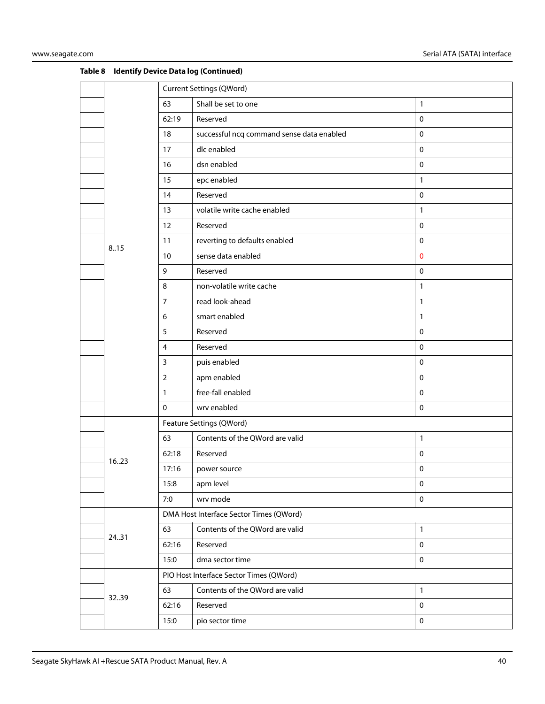|  |       | <b>Current Settings (QWord)</b> |                                           |              |
|--|-------|---------------------------------|-------------------------------------------|--------------|
|  |       | 63                              | Shall be set to one                       | $\mathbf{1}$ |
|  |       | 62:19                           | Reserved                                  | $\mathbf 0$  |
|  |       | 18                              | successful ncq command sense data enabled | $\mathbf 0$  |
|  |       | 17                              | dlc enabled                               | $\pmb{0}$    |
|  |       | 16                              | dsn enabled                               | $\mathbf 0$  |
|  |       | 15                              | epc enabled                               | $\mathbf{1}$ |
|  |       | 14                              | Reserved                                  | $\pmb{0}$    |
|  |       | 13                              | volatile write cache enabled              | $\mathbf{1}$ |
|  |       | 12                              | Reserved                                  | $\mathbf 0$  |
|  | 8.15  | 11                              | reverting to defaults enabled             | $\mathbf 0$  |
|  |       | 10                              | sense data enabled                        | $\mathbf 0$  |
|  |       | 9                               | Reserved                                  | $\mathbf 0$  |
|  |       | 8                               | non-volatile write cache                  | $\mathbf{1}$ |
|  |       | $\overline{7}$                  | read look-ahead                           | $\mathbf{1}$ |
|  |       | 6                               | smart enabled                             | $\mathbf{1}$ |
|  |       | 5                               | Reserved                                  | $\mathbf 0$  |
|  |       | 4                               | Reserved                                  | $\pmb{0}$    |
|  |       | $\mathbf{3}$                    | puis enabled                              | $\mathbf 0$  |
|  |       | $\overline{2}$                  | apm enabled                               | $\mathbf 0$  |
|  |       | $\mathbf{1}$                    | free-fall enabled                         | $\mathbf 0$  |
|  |       | $\mathbf 0$                     | wrv enabled                               | $\pmb{0}$    |
|  |       |                                 | Feature Settings (QWord)                  |              |
|  |       | 63                              | Contents of the QWord are valid           | $\mathbf{1}$ |
|  | 1623  | 62:18                           | Reserved                                  | $\mathbf 0$  |
|  |       | 17:16                           | power source                              | 0            |
|  |       | 15:8                            | apm level                                 | $\pmb{0}$    |
|  |       | 7:0                             | wrv mode                                  | $\mathbf 0$  |
|  |       |                                 | DMA Host Interface Sector Times (QWord)   |              |
|  | 24.31 | 63                              | Contents of the QWord are valid           | $\mathbf{1}$ |
|  |       | 62:16                           | Reserved                                  | $\mathbf 0$  |
|  |       | 15:0                            | dma sector time                           | $\mathbf 0$  |
|  |       |                                 | PIO Host Interface Sector Times (QWord)   |              |
|  | 3239  | 63                              | Contents of the QWord are valid           | $\mathbf{1}$ |
|  |       | 62:16                           | Reserved                                  | $\pmb{0}$    |
|  |       | 15:0                            | pio sector time                           | $\pmb{0}$    |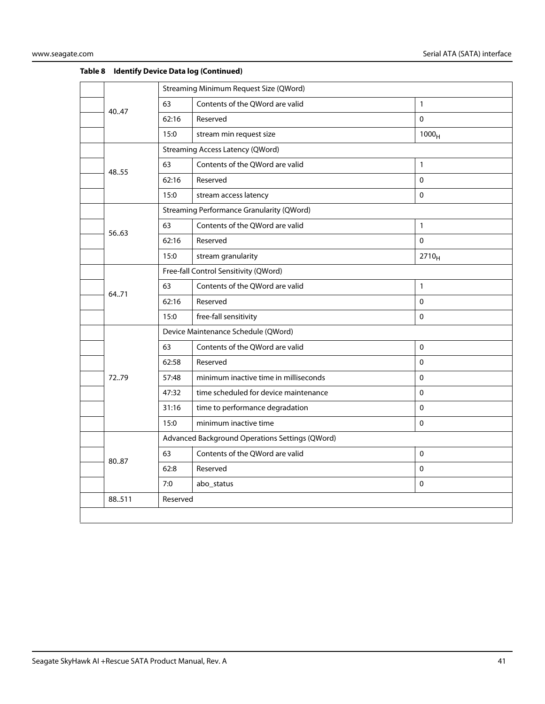|        |                                 | Streaming Minimum Request Size (QWord) |                                                                                                                                                                                                                                            |  |
|--------|---------------------------------|----------------------------------------|--------------------------------------------------------------------------------------------------------------------------------------------------------------------------------------------------------------------------------------------|--|
|        |                                 |                                        |                                                                                                                                                                                                                                            |  |
| 40.47  | 63                              | Contents of the QWord are valid        | $\mathbf{1}$                                                                                                                                                                                                                               |  |
|        | 62:16                           | Reserved                               | $\mathbf 0$                                                                                                                                                                                                                                |  |
|        | 15:0                            | stream min request size                | 1000 <sub>H</sub>                                                                                                                                                                                                                          |  |
|        |                                 |                                        |                                                                                                                                                                                                                                            |  |
|        | 63                              | Contents of the QWord are valid        | $\mathbf{1}$                                                                                                                                                                                                                               |  |
|        | 62:16                           | Reserved                               | $\mathbf 0$                                                                                                                                                                                                                                |  |
|        | 15:0                            | stream access latency                  | $\Omega$                                                                                                                                                                                                                                   |  |
|        |                                 |                                        |                                                                                                                                                                                                                                            |  |
|        | 63                              | Contents of the QWord are valid        | $\mathbf{1}$                                                                                                                                                                                                                               |  |
|        | 62:16                           | Reserved                               | $\Omega$                                                                                                                                                                                                                                   |  |
|        | 15:0                            | stream granularity                     | $2710_H$                                                                                                                                                                                                                                   |  |
|        |                                 |                                        |                                                                                                                                                                                                                                            |  |
|        | 63                              | Contents of the QWord are valid        | $\mathbf{1}$                                                                                                                                                                                                                               |  |
|        | 62:16                           | Reserved                               | $\Omega$                                                                                                                                                                                                                                   |  |
| 15:0   |                                 | free-fall sensitivity                  | $\Omega$                                                                                                                                                                                                                                   |  |
|        |                                 |                                        |                                                                                                                                                                                                                                            |  |
|        | 63                              | Contents of the QWord are valid        | $\mathbf 0$                                                                                                                                                                                                                                |  |
|        | 62:58                           | Reserved                               | $\Omega$                                                                                                                                                                                                                                   |  |
| 7279   | 57:48                           | minimum inactive time in milliseconds  | $\mathbf 0$                                                                                                                                                                                                                                |  |
|        | 47:32                           | time scheduled for device maintenance  | $\mathbf 0$                                                                                                                                                                                                                                |  |
|        | 31:16                           | time to performance degradation        | $\mathbf{0}$                                                                                                                                                                                                                               |  |
|        | 15:0                            | minimum inactive time                  | $\Omega$                                                                                                                                                                                                                                   |  |
|        |                                 |                                        |                                                                                                                                                                                                                                            |  |
|        | 63                              | Contents of the QWord are valid        | $\Omega$                                                                                                                                                                                                                                   |  |
|        | 62:8                            | Reserved                               | $\Omega$                                                                                                                                                                                                                                   |  |
|        | 7:0                             | abo_status                             | $\mathbf 0$                                                                                                                                                                                                                                |  |
| 88.511 |                                 |                                        |                                                                                                                                                                                                                                            |  |
|        |                                 |                                        |                                                                                                                                                                                                                                            |  |
|        | 48.55<br>5663<br>64.71<br>80.87 |                                        | <b>Streaming Access Latency (QWord)</b><br><b>Streaming Performance Granularity (QWord)</b><br>Free-fall Control Sensitivity (QWord)<br>Device Maintenance Schedule (QWord)<br>Advanced Background Operations Settings (QWord)<br>Reserved |  |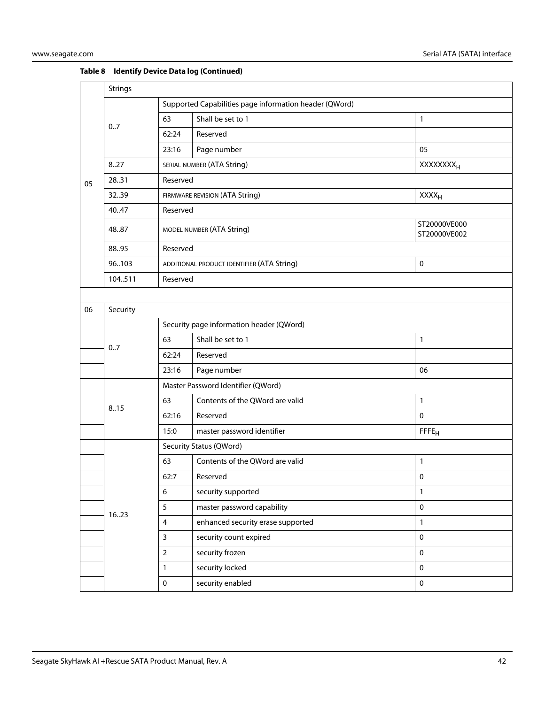|    | Strings                                   |                                                        |                                            |                              |  |  |
|----|-------------------------------------------|--------------------------------------------------------|--------------------------------------------|------------------------------|--|--|
|    |                                           | Supported Capabilities page information header (QWord) |                                            |                              |  |  |
|    | 0.7                                       | 63                                                     | Shall be set to 1                          | 1                            |  |  |
|    |                                           | 62:24                                                  | Reserved                                   |                              |  |  |
|    |                                           | 23:16                                                  | Page number                                | 05                           |  |  |
|    | 8.27                                      |                                                        | SERIAL NUMBER (ATA String)                 | <b>XXXXXXXX</b> <sub>H</sub> |  |  |
| 05 | 28.31                                     | Reserved                                               |                                            |                              |  |  |
|    | 3239                                      |                                                        | FIRMWARE REVISION (ATA String)             | $XXX_{H}$                    |  |  |
|    | 40.47                                     | Reserved                                               |                                            |                              |  |  |
|    | 48.87                                     |                                                        | MODEL NUMBER (ATA String)                  | ST20000VE000<br>ST20000VE002 |  |  |
|    | 88.95                                     | Reserved                                               |                                            |                              |  |  |
|    | 96103                                     |                                                        | ADDITIONAL PRODUCT IDENTIFIER (ATA String) | $\mathbf 0$                  |  |  |
|    | 104511                                    | Reserved                                               |                                            |                              |  |  |
|    |                                           |                                                        |                                            |                              |  |  |
| 06 | Security                                  |                                                        |                                            |                              |  |  |
|    |                                           |                                                        | Security page information header (QWord)   |                              |  |  |
|    | 0.7                                       | 63                                                     | Shall be set to 1                          | $\mathbf{1}$                 |  |  |
|    | Reserved<br>62:24<br>Page number<br>23:16 |                                                        |                                            |                              |  |  |
|    |                                           |                                                        | 06                                         |                              |  |  |
|    |                                           |                                                        | Master Password Identifier (QWord)         |                              |  |  |
|    | 8.15                                      | 63                                                     | Contents of the QWord are valid            | 1                            |  |  |
|    |                                           | 62:16                                                  | Reserved                                   | $\mathbf{0}$                 |  |  |
|    |                                           | 15:0                                                   | master password identifier                 | FFFE <sub>H</sub>            |  |  |
|    |                                           |                                                        | Security Status (QWord)                    |                              |  |  |
|    |                                           | 63                                                     | Contents of the QWord are valid            | 1                            |  |  |
|    |                                           | 62:7                                                   | Reserved                                   | $\mathbf 0$                  |  |  |
|    |                                           | 6                                                      | security supported                         | $\mathbf{1}$                 |  |  |
|    | 1623                                      | 5                                                      | master password capability                 | $\mathbf 0$                  |  |  |
|    |                                           | $\overline{4}$                                         | enhanced security erase supported          | $\mathbf{1}$                 |  |  |
|    |                                           | $\mathsf{3}$                                           | security count expired                     | $\pmb{0}$                    |  |  |
|    |                                           | $\mathbf 2$                                            | security frozen                            | $\pmb{0}$                    |  |  |
|    |                                           | $\mathbf{1}$                                           | security locked                            | $\pmb{0}$                    |  |  |
|    |                                           | $\pmb{0}$                                              | security enabled                           | $\pmb{0}$                    |  |  |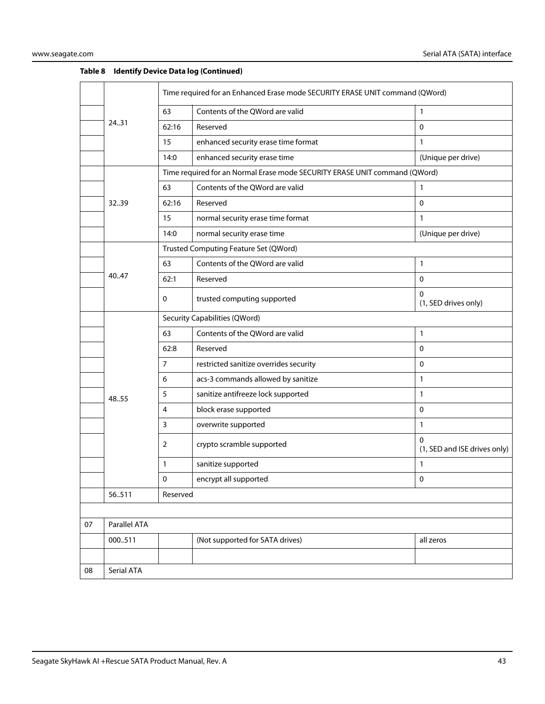|    |              | Time required for an Enhanced Erase mode SECURITY ERASE UNIT command (QWord) |                                                                            |                                          |  |
|----|--------------|------------------------------------------------------------------------------|----------------------------------------------------------------------------|------------------------------------------|--|
|    |              | 63                                                                           | Contents of the QWord are valid                                            | $\mathbf{1}$                             |  |
|    | 24.31        | 62:16                                                                        | Reserved                                                                   | $\mathbf 0$                              |  |
|    |              | 15                                                                           | enhanced security erase time format                                        | $\mathbf{1}$                             |  |
|    |              | 14:0                                                                         | enhanced security erase time                                               | (Unique per drive)                       |  |
|    |              |                                                                              | Time required for an Normal Erase mode SECURITY ERASE UNIT command (QWord) |                                          |  |
|    |              | 63                                                                           | Contents of the QWord are valid                                            | 1                                        |  |
|    | 3239         | 62:16                                                                        | Reserved                                                                   | $\mathbf 0$                              |  |
|    |              | 15                                                                           | normal security erase time format                                          | $\mathbf{1}$                             |  |
|    |              | 14:0                                                                         | normal security erase time                                                 | (Unique per drive)                       |  |
|    |              |                                                                              | Trusted Computing Feature Set (QWord)                                      |                                          |  |
|    |              | 63                                                                           | Contents of the QWord are valid                                            | $\mathbf{1}$                             |  |
|    | 40.47        | 62:1                                                                         | Reserved                                                                   | $\mathbf 0$                              |  |
|    |              | 0                                                                            | trusted computing supported                                                | 0<br>(1, SED drives only)                |  |
|    |              | Security Capabilities (QWord)                                                |                                                                            |                                          |  |
|    |              | 63                                                                           | Contents of the QWord are valid                                            | 1                                        |  |
|    |              | 62:8                                                                         | Reserved                                                                   | $\mathbf 0$                              |  |
|    |              | 7                                                                            | restricted sanitize overrides security                                     | $\pmb{0}$                                |  |
|    |              | 6                                                                            | acs-3 commands allowed by sanitize                                         | $\mathbf{1}$                             |  |
|    | 48.55        | 5                                                                            | sanitize antifreeze lock supported                                         | $\mathbf{1}$                             |  |
|    |              | 4                                                                            | block erase supported                                                      | $\mathbf 0$                              |  |
|    |              | 3                                                                            | overwrite supported                                                        | $\mathbf{1}$                             |  |
|    |              | 2                                                                            | crypto scramble supported                                                  | $\Omega$<br>(1, SED and ISE drives only) |  |
|    |              | 1                                                                            | sanitize supported                                                         | $\mathbf{1}$                             |  |
|    |              | 0                                                                            | encrypt all supported                                                      | $\pmb{0}$                                |  |
|    | 56511        | Reserved                                                                     |                                                                            |                                          |  |
|    |              |                                                                              |                                                                            |                                          |  |
| 07 | Parallel ATA |                                                                              |                                                                            |                                          |  |
|    | 000511       |                                                                              | (Not supported for SATA drives)                                            | all zeros                                |  |
|    |              |                                                                              |                                                                            |                                          |  |
| 08 | Serial ATA   |                                                                              |                                                                            |                                          |  |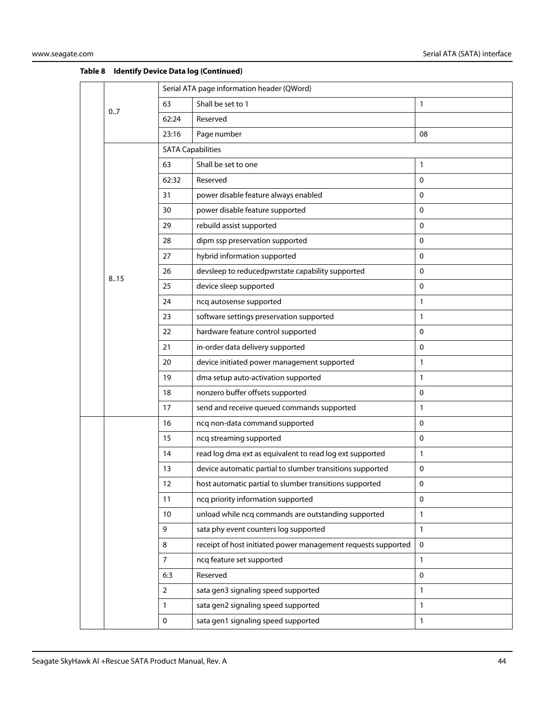|  |      | Serial ATA page information header (QWord)                     |                                                               |              |  |  |
|--|------|----------------------------------------------------------------|---------------------------------------------------------------|--------------|--|--|
|  | 0.7  | 63                                                             | Shall be set to 1                                             | 1            |  |  |
|  |      | 62:24                                                          | Reserved                                                      |              |  |  |
|  |      | 23:16                                                          | Page number                                                   | 08           |  |  |
|  |      | <b>SATA Capabilities</b>                                       |                                                               |              |  |  |
|  |      | 63                                                             | Shall be set to one                                           | 1            |  |  |
|  |      | 62:32                                                          | Reserved                                                      | 0            |  |  |
|  |      | 31                                                             | power disable feature always enabled                          | 0            |  |  |
|  |      | 30                                                             | power disable feature supported                               | 0            |  |  |
|  |      | 29                                                             | rebuild assist supported                                      | $\Omega$     |  |  |
|  |      | 28                                                             | dipm ssp preservation supported                               | 0            |  |  |
|  |      | 27                                                             | hybrid information supported                                  | 0            |  |  |
|  | 8.15 | 26                                                             | devsleep to reducedpwrstate capability supported              | 0            |  |  |
|  |      | 25                                                             | device sleep supported                                        | 0            |  |  |
|  |      | 24                                                             | ncq autosense supported                                       | 1            |  |  |
|  |      | 23                                                             | software settings preservation supported                      | 1            |  |  |
|  |      | 22                                                             | hardware feature control supported                            | 0            |  |  |
|  |      | 21                                                             | in-order data delivery supported                              | $\mathbf 0$  |  |  |
|  |      | 20                                                             | device initiated power management supported                   | 1            |  |  |
|  |      | 19<br>dma setup auto-activation supported                      | 1                                                             |              |  |  |
|  |      | 18                                                             | nonzero buffer offsets supported                              | 0            |  |  |
|  |      | 17                                                             | send and receive queued commands supported                    | 1            |  |  |
|  |      | 16                                                             | ncq non-data command supported                                | 0            |  |  |
|  |      | 15                                                             | ncq streaming supported                                       | $\mathbf 0$  |  |  |
|  |      | read log dma ext as equivalent to read log ext supported<br>14 |                                                               | 1            |  |  |
|  |      | 13                                                             | device automatic partial to slumber transitions supported     | 0            |  |  |
|  |      | 12                                                             | host automatic partial to slumber transitions supported       | $\pmb{0}$    |  |  |
|  |      | 11                                                             | ncq priority information supported                            | $\mathbf 0$  |  |  |
|  |      | 10                                                             | unload while ncq commands are outstanding supported           | $\mathbf{1}$ |  |  |
|  |      | 9                                                              | sata phy event counters log supported                         | $\mathbf{1}$ |  |  |
|  |      | 8                                                              | receipt of host initiated power management requests supported | $\mathbf 0$  |  |  |
|  |      | $\overline{7}$                                                 | ncq feature set supported                                     | 1            |  |  |
|  |      | 6:3                                                            | Reserved                                                      | 0            |  |  |
|  |      | $\overline{2}$                                                 | sata gen3 signaling speed supported                           | $\mathbf{1}$ |  |  |
|  |      | 1                                                              | sata gen2 signaling speed supported                           | $\mathbf{1}$ |  |  |
|  |      | 0                                                              | sata gen1 signaling speed supported                           | 1            |  |  |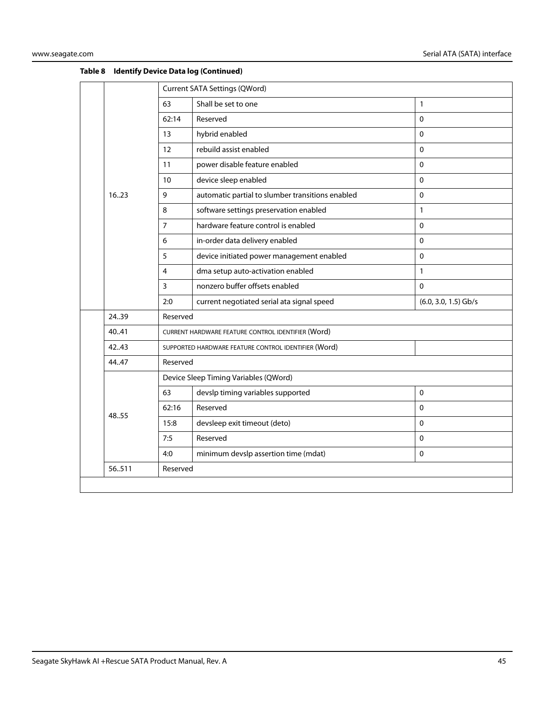|  |                                                                                                               | Current SATA Settings (QWord) |                                                      |                        |  |
|--|---------------------------------------------------------------------------------------------------------------|-------------------------------|------------------------------------------------------|------------------------|--|
|  |                                                                                                               | 63                            | Shall be set to one                                  | 1                      |  |
|  |                                                                                                               | 62:14                         | Reserved                                             | $\Omega$               |  |
|  |                                                                                                               | 13                            | hybrid enabled                                       | $\Omega$               |  |
|  |                                                                                                               | 12                            | rebuild assist enabled                               | $\mathbf 0$            |  |
|  |                                                                                                               | 11                            | power disable feature enabled                        | $\mathbf 0$            |  |
|  |                                                                                                               | 10                            | device sleep enabled                                 | $\pmb{0}$              |  |
|  | 1623                                                                                                          | 9                             | automatic partial to slumber transitions enabled     | $\pmb{0}$              |  |
|  |                                                                                                               | 8                             | software settings preservation enabled               | $\mathbf{1}$           |  |
|  |                                                                                                               | $\overline{7}$                | hardware feature control is enabled                  | $\mathbf 0$            |  |
|  | 6<br>in-order data delivery enabled<br>$\Omega$<br>device initiated power management enabled<br>5<br>$\Omega$ |                               |                                                      |                        |  |
|  |                                                                                                               |                               |                                                      |                        |  |
|  |                                                                                                               | $\overline{4}$                | dma setup auto-activation enabled                    | $\mathbf{1}$           |  |
|  |                                                                                                               | 3                             | nonzero buffer offsets enabled                       | $\Omega$               |  |
|  |                                                                                                               | 2:0                           | current negotiated serial ata signal speed           | $(6.0, 3.0, 1.5)$ Gb/s |  |
|  | 2439                                                                                                          | Reserved                      |                                                      |                        |  |
|  | 40.41                                                                                                         |                               | CURRENT HARDWARE FEATURE CONTROL IDENTIFIER (Word)   |                        |  |
|  | 42.43                                                                                                         |                               | SUPPORTED HARDWARE FEATURE CONTROL IDENTIFIER (Word) |                        |  |
|  | 44.47                                                                                                         | Reserved                      |                                                      |                        |  |
|  |                                                                                                               |                               | Device Sleep Timing Variables (QWord)                |                        |  |
|  |                                                                                                               | 63                            | devslp timing variables supported                    | $\Omega$               |  |
|  | 48.55                                                                                                         | 62:16                         | Reserved                                             | $\Omega$               |  |
|  |                                                                                                               | 15:8                          | devsleep exit timeout (deto)                         | $\Omega$               |  |
|  |                                                                                                               | 7:5                           | Reserved                                             | $\mathbf 0$            |  |
|  |                                                                                                               | 4:0                           | minimum devslp assertion time (mdat)                 | $\mathbf 0$            |  |
|  | 56511                                                                                                         | Reserved                      |                                                      |                        |  |
|  |                                                                                                               |                               |                                                      |                        |  |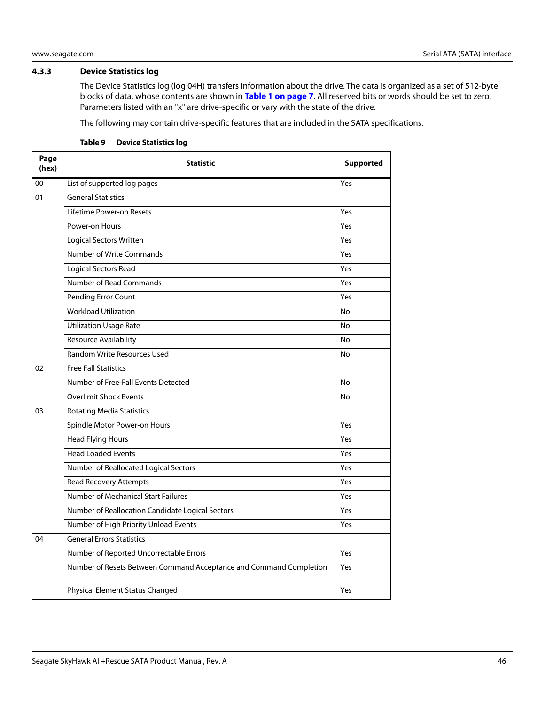### <span id="page-46-0"></span>**4.3.3 Device Statistics log**

The Device Statistics log (log 04H) transfers information about the drive. The data is organized as a set of 512-byte blocks of data, whose contents are shown in **[Table 1 on page 7](#page-7-2)**. All reserved bits or words should be set to zero. Parameters listed with an "x" are drive-specific or vary with the state of the drive.

The following may contain drive-specific features that are included in the SATA specifications.

| Page<br>(hex) | <b>Statistic</b>                                                   | <b>Supported</b> |  |  |  |
|---------------|--------------------------------------------------------------------|------------------|--|--|--|
| 00            | List of supported log pages                                        | Yes              |  |  |  |
| 01            | <b>General Statistics</b>                                          |                  |  |  |  |
|               | Lifetime Power-on Resets                                           | Yes              |  |  |  |
|               | Power-on Hours<br>Yes                                              |                  |  |  |  |
|               | <b>Logical Sectors Written</b>                                     | Yes              |  |  |  |
|               | Number of Write Commands                                           | Yes              |  |  |  |
|               | <b>Logical Sectors Read</b>                                        | Yes              |  |  |  |
|               | Number of Read Commands                                            | Yes              |  |  |  |
|               | Pending Error Count                                                | Yes              |  |  |  |
|               | <b>Workload Utilization</b>                                        | <b>No</b>        |  |  |  |
|               | <b>Utilization Usage Rate</b>                                      | No               |  |  |  |
|               | Resource Availability                                              | No               |  |  |  |
|               | <b>Random Write Resources Used</b>                                 | <b>No</b>        |  |  |  |
| 02            | <b>Free Fall Statistics</b>                                        |                  |  |  |  |
|               | Number of Free-Fall Events Detected                                | <b>No</b>        |  |  |  |
|               | <b>Overlimit Shock Events</b>                                      | No               |  |  |  |
| 03            | <b>Rotating Media Statistics</b>                                   |                  |  |  |  |
|               | Spindle Motor Power-on Hours                                       | Yes              |  |  |  |
|               | <b>Head Flying Hours</b>                                           | Yes              |  |  |  |
|               | <b>Head Loaded Events</b>                                          | Yes              |  |  |  |
|               | Number of Reallocated Logical Sectors                              | Yes              |  |  |  |
|               | <b>Read Recovery Attempts</b>                                      | Yes              |  |  |  |
|               | Number of Mechanical Start Failures                                | Yes              |  |  |  |
|               | Number of Reallocation Candidate Logical Sectors                   | Yes              |  |  |  |
|               | Number of High Priority Unload Events                              | Yes              |  |  |  |
| 04            | <b>General Errors Statistics</b>                                   |                  |  |  |  |
|               | Number of Reported Uncorrectable Errors                            | Yes              |  |  |  |
|               | Number of Resets Between Command Acceptance and Command Completion | Yes              |  |  |  |
|               | Physical Element Status Changed                                    | Yes              |  |  |  |

#### **Table 9 Device Statistics log**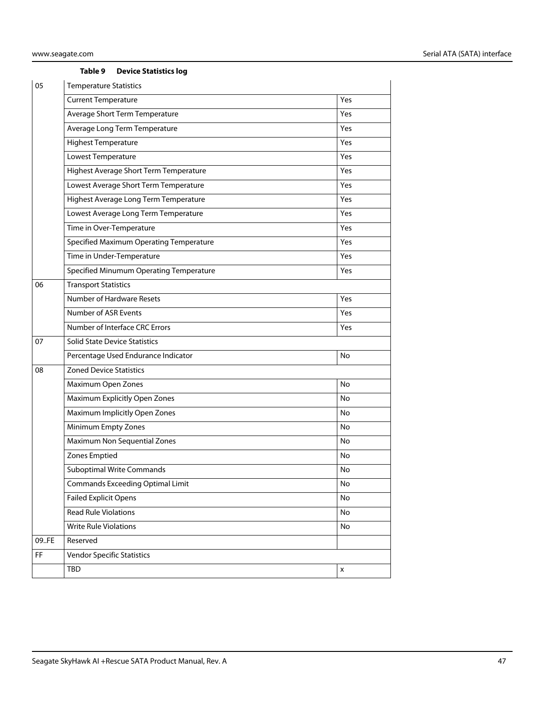#### **Table 9 Device Statistics log**

| 05    | <b>Temperature Statistics</b>           |     |  |  |  |  |  |
|-------|-----------------------------------------|-----|--|--|--|--|--|
|       | <b>Current Temperature</b>              | Yes |  |  |  |  |  |
|       | Average Short Term Temperature          | Yes |  |  |  |  |  |
|       | Average Long Term Temperature           | Yes |  |  |  |  |  |
|       | <b>Highest Temperature</b>              | Yes |  |  |  |  |  |
|       | Lowest Temperature                      | Yes |  |  |  |  |  |
|       | Highest Average Short Term Temperature  | Yes |  |  |  |  |  |
|       | Lowest Average Short Term Temperature   | Yes |  |  |  |  |  |
|       | Highest Average Long Term Temperature   | Yes |  |  |  |  |  |
|       | Lowest Average Long Term Temperature    | Yes |  |  |  |  |  |
|       | Time in Over-Temperature                | Yes |  |  |  |  |  |
|       | Specified Maximum Operating Temperature | Yes |  |  |  |  |  |
|       | Time in Under-Temperature               | Yes |  |  |  |  |  |
|       | Specified Minumum Operating Temperature | Yes |  |  |  |  |  |
| 06    | <b>Transport Statistics</b>             |     |  |  |  |  |  |
|       | <b>Number of Hardware Resets</b>        | Yes |  |  |  |  |  |
|       | Number of ASR Events                    | Yes |  |  |  |  |  |
|       | Number of Interface CRC Errors          | Yes |  |  |  |  |  |
| 07    | <b>Solid State Device Statistics</b>    |     |  |  |  |  |  |
|       | Percentage Used Endurance Indicator     | No  |  |  |  |  |  |
| 08    | <b>Zoned Device Statistics</b>          |     |  |  |  |  |  |
|       | Maximum Open Zones                      | No  |  |  |  |  |  |
|       | Maximum Explicitly Open Zones           | No  |  |  |  |  |  |
|       | Maximum Implicitly Open Zones           | No  |  |  |  |  |  |
|       | Minimum Empty Zones                     | No  |  |  |  |  |  |
|       | Maximum Non Sequential Zones            | No  |  |  |  |  |  |
|       | Zones Emptied                           | No  |  |  |  |  |  |
|       | Suboptimal Write Commands               | No  |  |  |  |  |  |
|       | <b>Commands Exceeding Optimal Limit</b> | No  |  |  |  |  |  |
|       | <b>Failed Explicit Opens</b>            | No  |  |  |  |  |  |
|       | <b>Read Rule Violations</b>             | No  |  |  |  |  |  |
|       | <b>Write Rule Violations</b>            | No  |  |  |  |  |  |
| 09.FE | Reserved                                |     |  |  |  |  |  |
| FF    | <b>Vendor Specific Statistics</b>       |     |  |  |  |  |  |
|       | TBD                                     | x   |  |  |  |  |  |
|       |                                         |     |  |  |  |  |  |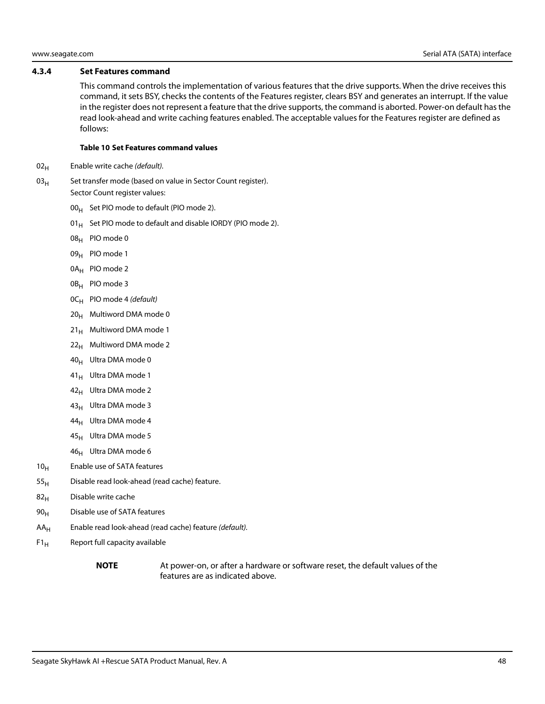#### <span id="page-48-0"></span>**4.3.4 Set Features command**

This command controls the implementation of various features that the drive supports. When the drive receives this command, it sets BSY, checks the contents of the Features register, clears BSY and generates an interrupt. If the value in the register does not represent a feature that the drive supports, the command is aborted. Power-on default has the read look-ahead and write caching features enabled. The acceptable values for the Features register are defined as follows:

#### **Table 10 Set Features command values**

- $02_H$  Enable write cache (default).
- $03<sub>H</sub>$  Set transfer mode (based on value in Sector Count register). Sector Count register values:
	- $00_H$  Set PIO mode to default (PIO mode 2).
	- 01 $_{\rm H}$  Set PIO mode to default and disable IORDY (PIO mode 2).
	- 08H PIO mode 0
	- 09<sub>H</sub> PIO mode 1
	- 0A<sub>H</sub> PIO mode 2
	- 0B<sub>H</sub> PIO mode 3
	- $OC_H$  PIO mode 4 (default)
	- $20_H$  Multiword DMA mode 0
	- $21_H$  Multiword DMA mode 1
	- $22<sub>H</sub>$  Multiword DMA mode 2
	- $40_H$  Ultra DMA mode 0
	- $41_H$  Ultra DMA mode 1
	- $42_H$  Ultra DMA mode 2
	- 43<sub>H</sub> Ultra DMA mode 3
	- 44<sub>H</sub> Ultra DMA mode 4
	- $45_H$  Ultra DMA mode 5
	- 46<sub>H</sub> Ultra DMA mode 6
- $10<sub>H</sub>$  Enable use of SATA features
- $55<sub>H</sub>$  Disable read look-ahead (read cache) feature.
- $82<sub>H</sub>$  Disable write cache
- 90<sub>H</sub> Disable use of SATA features
- $AA_H$  Enable read look-ahead (read cache) feature (*default*).
- $F1_H$  Report full capacity available
	-

**NOTE** At power-on, or after a hardware or software reset, the default values of the features are as indicated above.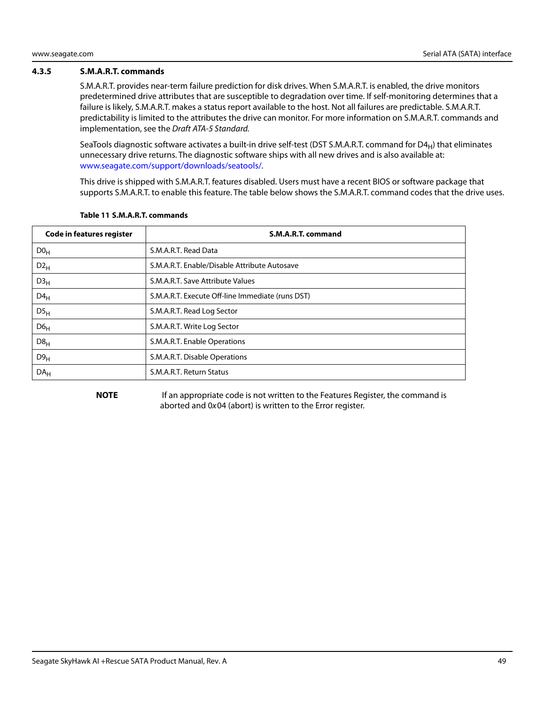#### <span id="page-49-0"></span>**4.3.5 S.M.A.R.T. commands**

S.M.A.R.T. provides near-term failure prediction for disk drives. When S.M.A.R.T. is enabled, the drive monitors predetermined drive attributes that are susceptible to degradation over time. If self-monitoring determines that a failure is likely, S.M.A.R.T. makes a status report available to the host. Not all failures are predictable. S.M.A.R.T. predictability is limited to the attributes the drive can monitor. For more information on S.M.A.R.T. commands and implementation, see the Draft ATA-5 Standard.

SeaTools diagnostic software activates a built-in drive self-test (DST S.M.A.R.T. command for  $D4_H$ ) that eliminates unnecessary drive returns. The diagnostic software ships with all new drives and is also available at: www.seagate.com/support/downloads/seatools/.

This drive is shipped with S.M.A.R.T. features disabled. Users must have a recent BIOS or software package that supports S.M.A.R.T. to enable this feature. The table below shows the S.M.A.R.T. command codes that the drive uses.

| <b>Code in features register</b> | S.M.A.R.T. command                               |
|----------------------------------|--------------------------------------------------|
| D0 <sub>H</sub>                  | S.M.A.R.T. Read Data                             |
| $D2_{H}$                         | S.M.A.R.T. Enable/Disable Attribute Autosave     |
| D3 <sub>H</sub>                  | S.M.A.R.T. Save Attribute Values                 |
| $D4_H$                           | S.M.A.R.T. Execute Off-line Immediate (runs DST) |
| DS <sub>H</sub>                  | S.M.A.R.T. Read Log Sector                       |
| $D6_H$                           | S.M.A.R.T. Write Log Sector                      |
| $D8_H$                           | S.M.A.R.T. Enable Operations                     |
| D9 <sub>H</sub>                  | S.M.A.R.T. Disable Operations                    |
| DA <sub>H</sub>                  | S.M.A.R.T. Return Status                         |

#### **Table 11 S.M.A.R.T. commands**

**NOTE** If an appropriate code is not written to the Features Register, the command is aborted and 0x04 (abort) is written to the Error register.